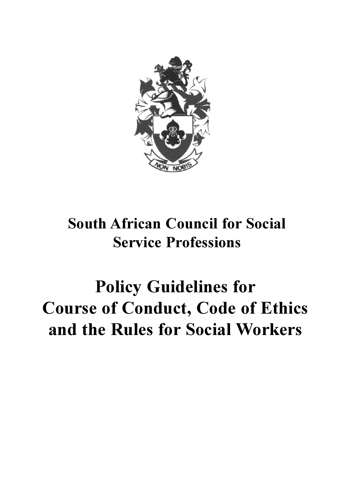

# **South African Council for Social Service Professions**

# **Policy Guidelines for Course of Conduct, Code of Ethics** and the Rules for Social Workers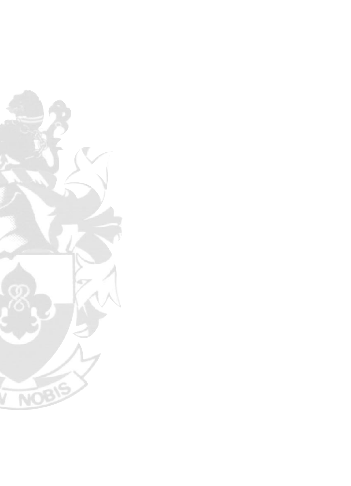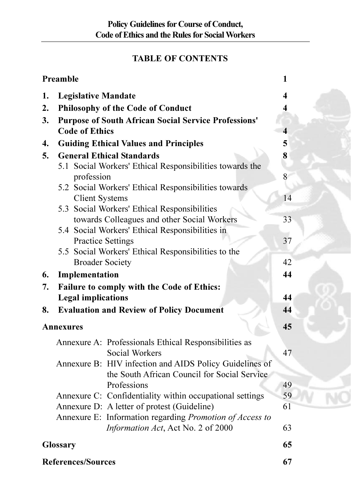# **TABLE OF CONTENTS**

|    | Preamble                                                        | 1                     |
|----|-----------------------------------------------------------------|-----------------------|
| 1. | <b>Legislative Mandate</b>                                      | 4                     |
| 2. | <b>Philosophy of the Code of Conduct</b>                        | 4                     |
| 3. | <b>Purpose of South African Social Service Professions'</b>     |                       |
|    | <b>Code of Ethics</b>                                           | $\boldsymbol{\Delta}$ |
| 4. | <b>Guiding Ethical Values and Principles</b>                    | 5                     |
| 5. | <b>General Ethical Standards</b>                                | 8                     |
|    | Social Workers' Ethical Responsibilities towards the<br>5.1     |                       |
|    | profession                                                      | 8                     |
|    | 5.2 Social Workers' Ethical Responsibilities towards            |                       |
|    | <b>Client Systems</b>                                           | 14                    |
|    | 5.3 Social Workers' Ethical Responsibilities                    |                       |
|    | towards Colleagues and other Social Workers                     | 33                    |
|    | 5.4 Social Workers' Ethical Responsibilities in                 |                       |
|    | <b>Practice Settings</b>                                        | 37                    |
|    | 5.5 Social Workers' Ethical Responsibilities to the             |                       |
|    | <b>Broader Society</b>                                          | 42                    |
| 6. | Implementation                                                  | 44                    |
| 7. | Failure to comply with the Code of Ethics:                      |                       |
|    | <b>Legal implications</b>                                       | 44                    |
| 8. | <b>Evaluation and Review of Policy Document</b>                 | 44                    |
|    | <b>Annexures</b>                                                |                       |
|    | Annexure A: Professionals Ethical Responsibilities as           |                       |
|    | Social Workers                                                  | 47                    |
|    | Annexure B: HIV infection and AIDS Policy Guidelines of         |                       |
|    | the South African Council for Social Service                    |                       |
|    | Professions                                                     | 49                    |
|    | Annexure C: Confidentiality within occupational settings        | 59                    |
|    | Annexure D: A letter of protest (Guideline)                     | 61                    |
|    | Annexure E: Information regarding <i>Promotion of Access to</i> |                       |
|    | Information Act, Act No. 2 of 2000                              | 63                    |
|    | <b>Glossary</b>                                                 |                       |
|    | <b>References/Sources</b>                                       |                       |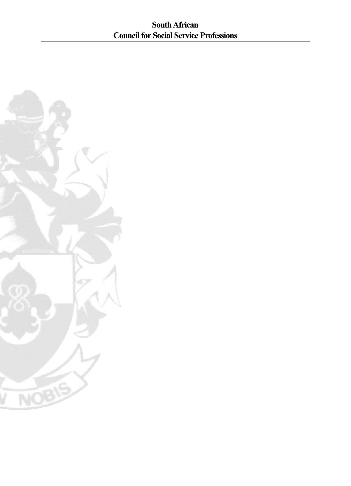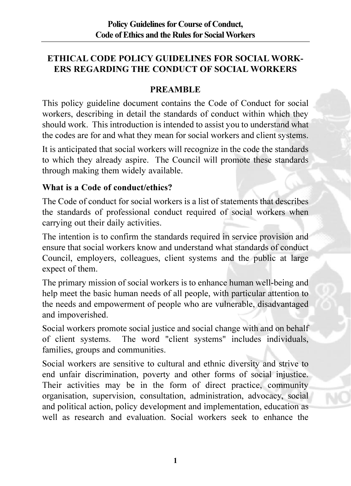# **ETHICAL CODE POLICY GUIDELINES FOR SOCIAL WORK-ERS REGARDING THE CONDUCT OF SOCIAL WORKERS**

#### **PREAMBLE**

This policy guideline document contains the Code of Conduct for social workers, describing in detail the standards of conduct within which they should work. This introduction is intended to assist you to understand what the codes are for and what they mean for social workers and client systems.

It is anticipated that social workers will recognize in the code the standards to which they already aspire. The Council will promote these standards through making them widely available.

### What is a Code of conduct/ethics?

The Code of conduct for social workers is a list of statements that describes the standards of professional conduct required of social workers when carrying out their daily activities.

The intention is to confirm the standards required in service provision and ensure that social workers know and understand what standards of conduct Council, employers, colleagues, client systems and the public at large expect of them.

The primary mission of social workers is to enhance human well-being and help meet the basic human needs of all people, with particular attention to the needs and empowerment of people who are vulnerable, disadvantaged and impoverished.

Social workers promote social justice and social change with and on behalf of client systems. The word "client systems" includes individuals, families, groups and communities.

Social workers are sensitive to cultural and ethnic diversity and strive to end unfair discrimination, poverty and other forms of social injustice. Their activities may be in the form of direct practice, community organisation, supervision, consultation, administration, advocacy, social and political action, policy development and implementation, education as well as research and evaluation. Social workers seek to enhance the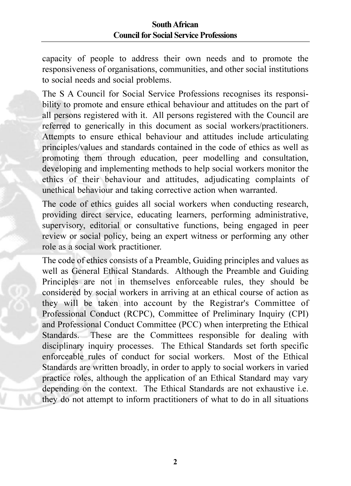capacity of people to address their own needs and to promote the responsiveness of organisations, communities, and other social institutions to social needs and social problems.

The S A Council for Social Service Professions recognises its responsibility to promote and ensure ethical behaviour and attitudes on the part of all persons registered with it. All persons registered with the Council are referred to generically in this document as social workers/practitioners. Attempts to ensure ethical behaviour and attitudes include articulating principles/values and standards contained in the code of ethics as well as promoting them through education, peer modelling and consultation, developing and implementing methods to help social workers monitor the ethics of their behaviour and attitudes, adjudicating complaints of unethical behaviour and taking corrective action when warranted.

The code of ethics guides all social workers when conducting research, providing direct service, educating learners, performing administrative, supervisory, editorial or consultative functions, being engaged in peer review or social policy, being an expert witness or performing any other role as a social work practitioner.

The code of ethics consists of a Preamble, Guiding principles and values as well as General Ethical Standards. Although the Preamble and Guiding Principles are not in themselves enforceable rules, they should be considered by social workers in arriving at an ethical course of action as they will be taken into account by the Registrar's Committee of Professional Conduct (RCPC), Committee of Preliminary Inquiry (CPI) and Professional Conduct Committee (PCC) when interpreting the Ethical Standards. These are the Committees responsible for dealing with disciplinary inquiry processes. The Ethical Standards set forth specific enforceable rules of conduct for social workers. Most of the Ethical Standards are written broadly, in order to apply to social workers in varied practice roles, although the application of an Ethical Standard may vary depending on the context. The Ethical Standards are not exhaustive i.e. they do not attempt to inform practitioners of what to do in all situations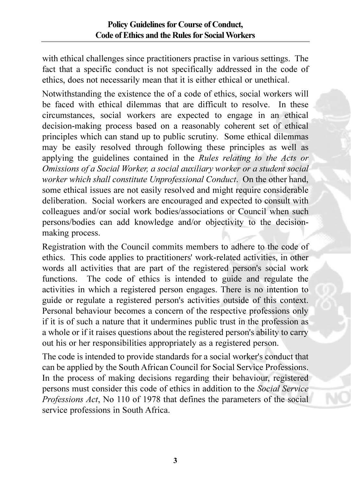with ethical challenges since practitioners practise in various settings. The fact that a specific conduct is not specifically addressed in the code of ethics, does not necessarily mean that it is either ethical or unethical.

Notwithstanding the existence the of a code of ethics, social workers will be faced with ethical dilemmas that are difficult to resolve. In these circumstances, social workers are expected to engage in an ethical decision-making process based on a reasonably coherent set of ethical principles which can stand up to public scrutiny. Some ethical dilemmas may be easily resolved through following these principles as well as applying the guidelines contained in the Rules relating to the Acts or Omissions of a Social Worker, a social auxiliary worker or a student social worker which shall constitute Unprofessional Conduct. On the other hand, some ethical issues are not easily resolved and might require considerable deliberation. Social workers are encouraged and expected to consult with colleagues and/or social work bodies/associations or Council when such persons/bodies can add knowledge and/or objectivity to the decisionmaking process.

Registration with the Council commits members to adhere to the code of ethics. This code applies to practitioners' work-related activities, in other words all activities that are part of the registered person's social work functions. The code of ethics is intended to guide and regulate the activities in which a registered person engages. There is no intention to guide or regulate a registered person's activities outside of this context. Personal behaviour becomes a concern of the respective professions only if it is of such a nature that it undermines public trust in the profession as a whole or if it raises questions about the registered person's ability to carry out his or her responsibilities appropriately as a registered person.

The code is intended to provide standards for a social worker's conduct that can be applied by the South African Council for Social Service Professions. In the process of making decisions regarding their behaviour, registered persons must consider this code of ethics in addition to the Social Service *Professions Act*, No 110 of 1978 that defines the parameters of the social service professions in South Africa.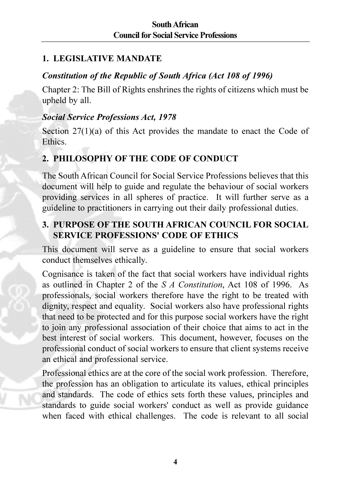# **1. LEGISLATIVE MANDATE**

# **Constitution of the Republic of South Africa (Act 108 of 1996)**

Chapter 2: The Bill of Rights enshrines the rights of citizens which must be upheld by all.

### **Social Service Professions Act, 1978**

Section  $27(1)(a)$  of this Act provides the mandate to enact the Code of **Ethics** 

# 2. PHILOSOPHY OF THE CODE OF CONDUCT

The South African Council for Social Service Professions believes that this document will help to guide and regulate the behaviour of social workers providing services in all spheres of practice. It will further serve as a guideline to practitioners in carrying out their daily professional duties.

# 3. PURPOSE OF THE SOUTH AFRICAN COUNCIL FOR SOCIAL **SERVICE PROFESSIONS' CODE OF ETHICS**

This document will serve as a guideline to ensure that social workers conduct themselves ethically.

Cognisance is taken of the fact that social workers have individual rights as outlined in Chapter 2 of the S A Constitution, Act 108 of 1996. As professionals, social workers therefore have the right to be treated with dignity, respect and equality. Social workers also have professional rights that need to be protected and for this purpose social workers have the right to join any professional association of their choice that aims to act in the best interest of social workers. This document, however, focuses on the professional conduct of social workers to ensure that client systems receive an ethical and professional service.

Professional ethics are at the core of the social work profession. Therefore, the profession has an obligation to articulate its values, ethical principles and standards. The code of ethics sets forth these values, principles and standards to guide social workers' conduct as well as provide guidance when faced with ethical challenges. The code is relevant to all social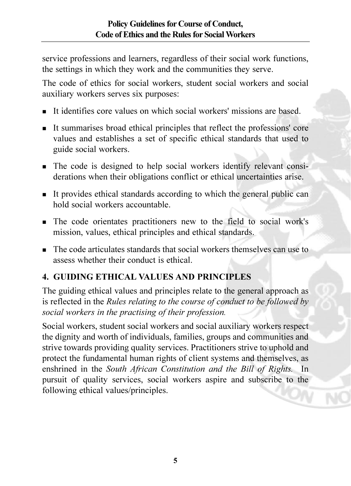service professions and learners, regardless of their social work functions, the settings in which they work and the communities they serve.

The code of ethics for social workers, student social workers and social auxiliary workers serves six purposes:

- It identifies core values on which social workers' missions are hased
- It summarises broad ethical principles that reflect the professions' core values and establishes a set of specific ethical standards that used to guide social workers.
- The code is designed to help social workers identify relevant considerations when their obligations conflict or ethical uncertainties arise.
- It provides ethical standards according to which the general public can hold social workers accountable.
- The code orientates practitioners new to the field to social work's mission, values, ethical principles and ethical standards.
- $\blacksquare$  The code articulates standards that social workers themselves can use to assess whether their conduct is ethical

# **4. GUIDING ETHICAL VALUES AND PRINCIPLES**

The guiding ethical values and principles relate to the general approach as is reflected in the Rules relating to the course of conduct to be followed by social workers in the practising of their profession.

Social workers, student social workers and social auxiliary workers respect the dignity and worth of individuals, families, groups and communities and strive towards providing quality services. Practitioners strive to uphold and protect the fundamental human rights of client systems and themselves, as enshrined in the South African Constitution and the Bill of Rights. In pursuit of quality services, social workers aspire and subscribe to the following ethical values/principles.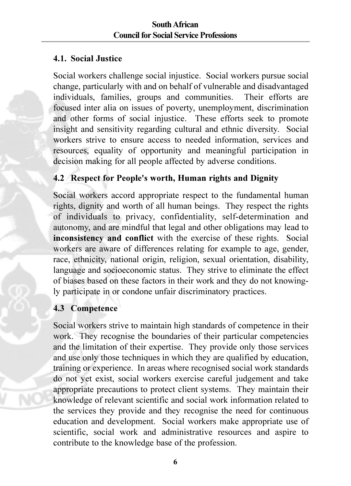### 4.1 Social Justice

Social workers challenge social injustice. Social workers pursue social change, particularly with and on behalf of vulnerable and disadvantaged individuals, families, groups and communities. Their efforts are focused inter alia on issues of poverty, unemployment, discrimination and other forms of social injustice. These efforts seek to promote insight and sensitivity regarding cultural and ethnic diversity. Social workers strive to ensure access to needed information, services and resources, equality of opportunity and meaningful participation in decision making for all people affected by adverse conditions.

## 4.2 Respect for People's worth, Human rights and Dignity

Social workers accord appropriate respect to the fundamental human rights, dignity and worth of all human beings. They respect the rights of individuals to privacy, confidentiality, self-determination and autonomy, and are mindful that legal and other obligations may lead to inconsistency and conflict with the exercise of these rights. Social workers are aware of differences relating for example to age, gender, race, ethnicity, national origin, religion, sexual orientation, disability, language and socioeconomic status. They strive to eliminate the effect of biases based on these factors in their work and they do not knowingly participate in or condone unfair discriminatory practices.

### 4.3 Competence

Social workers strive to maintain high standards of competence in their work. They recognise the boundaries of their particular competencies and the limitation of their expertise. They provide only those services and use only those techniques in which they are qualified by education, training or experience. In areas where recognised social work standards do not yet exist, social workers exercise careful judgement and take appropriate precautions to protect client systems. They maintain their knowledge of relevant scientific and social work information related to the services they provide and they recognise the need for continuous education and development. Social workers make appropriate use of scientific, social work and administrative resources and aspire to contribute to the knowledge base of the profession.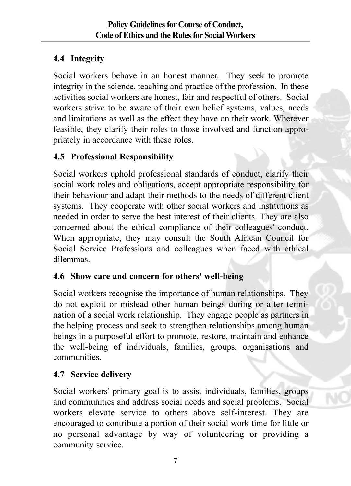# 4.4 Integrity

Social workers behave in an honest manner. They seek to promote integrity in the science, teaching and practice of the profession. In these activities social workers are honest, fair and respectful of others. Social workers strive to be aware of their own belief systems, values, needs and limitations as well as the effect they have on their work. Wherever feasible, they clarify their roles to those involved and function appropriately in accordance with these roles.

# 4.5 Professional Responsibility

Social workers uphold professional standards of conduct, clarify their social work roles and obligations, accept appropriate responsibility for their behaviour and adapt their methods to the needs of different client systems. They cooperate with other social workers and institutions as needed in order to serve the best interest of their clients. They are also concerned about the ethical compliance of their colleagues' conduct. When appropriate, they may consult the South African Council for Social Service Professions and colleagues when faced with ethical dilemmas

# 4.6 Show care and concern for others' well-being

Social workers recognise the importance of human relationships. They do not exploit or mislead other human beings during or after termination of a social work relationship. They engage people as partners in the helping process and seek to strengthen relationships among human beings in a purposeful effort to promote, restore, maintain and enhance the well-being of individuals, families, groups, organisations and communities

# 4.7 Service delivery

Social workers' primary goal is to assist individuals, families, groups and communities and address social needs and social problems. Social workers elevate service to others above self-interest. They are encouraged to contribute a portion of their social work time for little or no personal advantage by way of volunteering or providing a community service.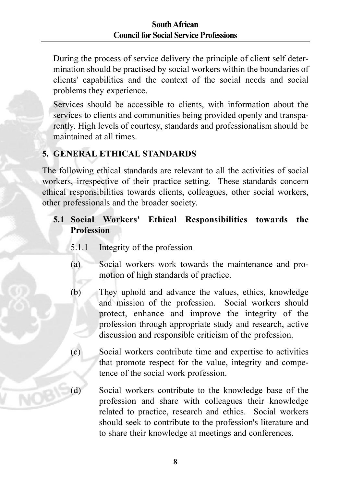During the process of service delivery the principle of client self determination should be practised by social workers within the boundaries of clients' capabilities and the context of the social needs and social problems they experience.

Services should be accessible to clients, with information about the services to clients and communities being provided openly and transparently. High levels of courtesy, standards and professionalism should be maintained at all times

# 5. GENERAL ETHICAL STANDARDS

The following ethical standards are relevant to all the activities of social workers, irrespective of their practice setting. These standards concern ethical responsibilities towards clients, colleagues, other social workers, other professionals and the broader society.

# 5.1 Social Workers' Ethical Responsibilities towards the **Profession**

- Integrity of the profession  $5.1.1$
- $(a)$ Social workers work towards the maintenance and promotion of high standards of practice.
- $(b)$ They uphold and advance the values, ethics, knowledge and mission of the profession. Social workers should protect, enhance and improve the integrity of the profession through appropriate study and research, active discussion and responsible criticism of the profession.
- $(c)$ Social workers contribute time and expertise to activities that promote respect for the value, integrity and competence of the social work profession.
- $(d)$ Social workers contribute to the knowledge base of the profession and share with colleagues their knowledge related to practice, research and ethics. Social workers should seek to contribute to the profession's literature and to share their knowledge at meetings and conferences.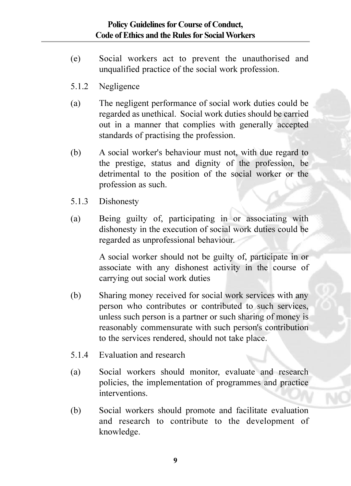- $(e)$ Social workers act to prevent the unauthorised and unqualified practice of the social work profession.
- 5.1.2 Negligence
- The negligent performance of social work duties could be  $(a)$ regarded as unethical. Social work duties should be carried out in a manner that complies with generally accepted standards of practising the profession.
- $(b)$ A social worker's behaviour must not, with due regard to the prestige, status and dignity of the profession, be detrimental to the position of the social worker or the profession as such.
- 5.1.3 Dishonesty
- Being guilty of, participating in or associating with  $(a)$ dishonesty in the execution of social work duties could be regarded as unprofessional behaviour.

A social worker should not be guilty of, participate in or associate with any dishonest activity in the course of carrying out social work duties

- $(b)$ Sharing money received for social work services with any person who contributes or contributed to such services, unless such person is a partner or such sharing of money is reasonably commensurate with such person's contribution to the services rendered, should not take place.
- 5 1 4 Evaluation and research
- Social workers should monitor, evaluate and research  $(a)$ policies, the implementation of programmes and practice interventions
- (b) Social workers should promote and facilitate evaluation and research to contribute to the development of knowledge.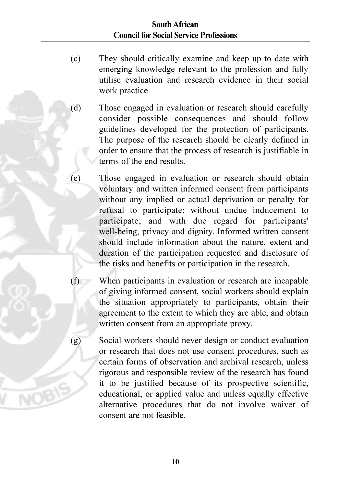- $(c)$ They should critically examine and keep up to date with emerging knowledge relevant to the profession and fully utilise evaluation and research evidence in their social work practice.
- $(d)$ Those engaged in evaluation or research should carefully consider possible consequences and should follow guidelines developed for the protection of participants. The purpose of the research should be clearly defined in order to ensure that the process of research is justifiable in terms of the end results.
- Those engaged in evaluation or research should obtain  $(e)$ voluntary and written informed consent from participants without any implied or actual deprivation or penalty for refusal to participate; without undue inducement to participate; and with due regard for participants' well-being, privacy and dignity. Informed written consent should include information about the nature, extent and duration of the participation requested and disclosure of the risks and benefits or participation in the research.
- $(f)$ When participants in evaluation or research are incapable of giving informed consent, social workers should explain the situation appropriately to participants, obtain their agreement to the extent to which they are able, and obtain written consent from an appropriate proxy.

Social workers should never design or conduct evaluation or research that does not use consent procedures, such as certain forms of observation and archival research, unless rigorous and responsible review of the research has found it to be justified because of its prospective scientific, educational, or applied value and unless equally effective alternative procedures that do not involve waiver of consent are not feasible.

 $(g)$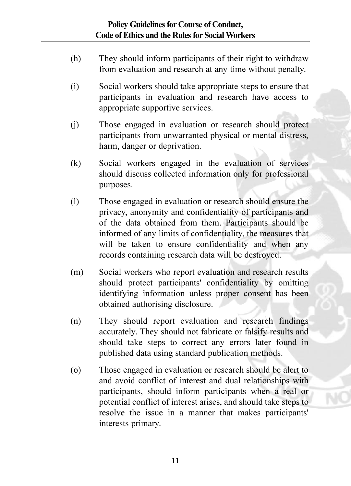- They should inform participants of their right to withdraw  $(h)$ from evaluation and research at any time without penalty.
- Social workers should take appropriate steps to ensure that  $(i)$ participants in evaluation and research have access to appropriate supportive services.
- Those engaged in evaluation or research should protect  $(i)$ participants from unwarranted physical or mental distress, harm, danger or deprivation.
- Social workers engaged in the evaluation of services  $(k)$ should discuss collected information only for professional purposes.
- Those engaged in evaluation or research should ensure the  $(1)$ privacy, anonymity and confidentiality of participants and of the data obtained from them. Participants should be informed of any limits of confidentiality, the measures that will be taken to ensure confidentiality and when any records containing research data will be destroyed.
- Social workers who report evaluation and research results  $(m)$ should protect participants' confidentiality by omitting identifying information unless proper consent has been obtained authorising disclosure.
- They should report evaluation and research findings  $(n)$ accurately. They should not fabricate or falsify results and should take steps to correct any errors later found in published data using standard publication methods.
- Those engaged in evaluation or research should be alert to  $(0)$ and avoid conflict of interest and dual relationships with participants, should inform participants when a real or potential conflict of interest arises, and should take steps to resolve the issue in a manner that makes participants' interests primary.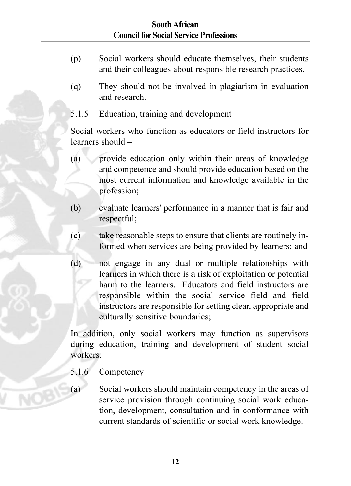### South African **Council for Social Service Professions**

- Social workers should educate themselves, their students  $(p)$ and their colleagues about responsible research practices.
- They should not be involved in plagiarism in evaluation  $(a)$ and research.
- $515$ Education, training and development

Social workers who function as educators or field instructors for  $learners should =$ 

- $(a)$ provide education only within their areas of knowledge and competence and should provide education based on the most current information and knowledge available in the profession;
- $(b)$ evaluate learners' performance in a manner that is fair and respectful;
- $(c)$ take reasonable steps to ensure that clients are routinely informed when services are being provided by learners; and
- $(d)$ not engage in any dual or multiple relationships with learners in which there is a risk of exploitation or potential harm to the learners. Educators and field instructors are responsible within the social service field and field instructors are responsible for setting clear, appropriate and culturally sensitive boundaries;

In addition, only social workers may function as supervisors during education, training and development of student social workers

- 516 Competency
- $(a)$ Social workers should maintain competency in the areas of service provision through continuing social work education, development, consultation and in conformance with current standards of scientific or social work knowledge.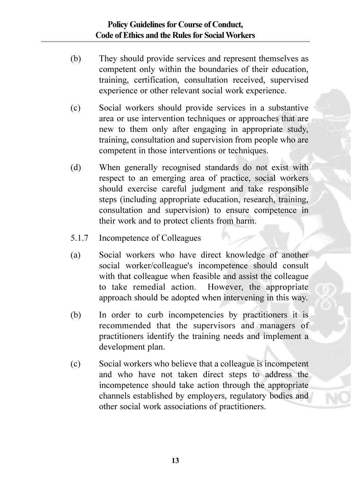- They should provide services and represent themselves as  $(h)$ competent only within the boundaries of their education. training, certification, consultation received, supervised experience or other relevant social work experience.
- Social workers should provide services in a substantive  $(c)$ area or use intervention techniques or approaches that are new to them only after engaging in appropriate study, training, consultation and supervision from people who are competent in those interventions or techniques.
- When generally recognised standards do not exist with  $(d)$ respect to an emerging area of practice, social workers should exercise careful judgment and take responsible steps (including appropriate education, research, training, consultation and supervision) to ensure competence in their work and to protect clients from harm.
- 5.1.7 Incompetence of Colleagues
- Social workers who have direct knowledge of another  $(a)$ social worker/colleague's incompetence should consult with that colleague when feasible and assist the colleague However, the appropriate to take remedial action. approach should be adopted when intervening in this way.
- (b) In order to curb incompetencies by practitioners it is recommended that the supervisors and managers of practitioners identify the training needs and implement a development plan.
- Social workers who believe that a colleague is incompetent  $(c)$ and who have not taken direct steps to address the incompetence should take action through the appropriate channels established by employers, regulatory bodies and other social work associations of practitioners.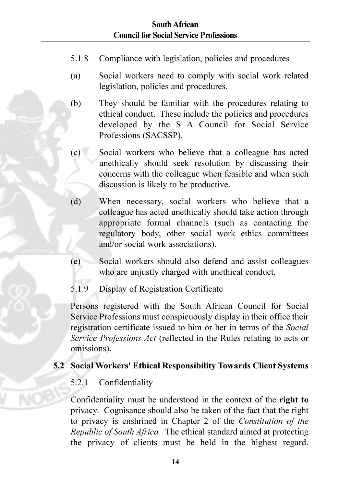### South African **Council for Social Service Professions**

- 518 Compliance with legislation, policies and procedures
- $(a)$ Social workers need to comply with social work related legislation, policies and procedures.
- They should be familiar with the procedures relating to  $(h)$ ethical conduct. These include the policies and procedures developed by the S A Council for Social Service Professions (SACSSP).
- Social workers who believe that a colleague has acted  $(c)$ unethically should seek resolution by discussing their concerns with the colleague when feasible and when such discussion is likely to be productive.
- When necessary, social workers who believe that a  $(d)$ colleague has acted unethically should take action through appropriate formal channels (such as contacting the regulatory body, other social work ethics committees and/or social work associations).
- $(e)$ Social workers should also defend and assist colleagues who are unjustly charged with unethical conduct.
- 5.1.9 Display of Registration Certificate

Persons registered with the South African Council for Social Service Professions must conspicuously display in their office their registration certificate issued to him or her in terms of the Social Service Professions Act (reflected in the Rules relating to acts or omissions).

### 5.2 Social Workers' Ethical Responsibility Towards Client Systems

# 5.2.1 Confidentiality

Confidentiality must be understood in the context of the right to privacy. Cognisance should also be taken of the fact that the right to privacy is enshrined in Chapter 2 of the Constitution of the Republic of South Africa. The ethical standard aimed at protecting the privacy of clients must be held in the highest regard.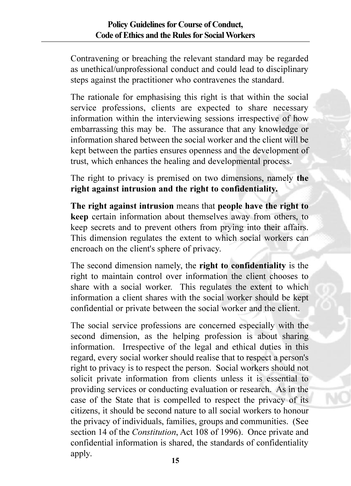Contravening or breaching the relevant standard may be regarded as unethical/unprofessional conduct and could lead to disciplinary steps against the practitioner who contravenes the standard.

The rationale for emphasising this right is that within the social service professions, clients are expected to share necessary information within the interviewing sessions irrespective of how embarrassing this may be. The assurance that any knowledge or information shared between the social worker and the client will be kent between the parties ensures openness and the development of trust, which enhances the healing and developmental process.

The right to privacy is premised on two dimensions, namely the right against intrusion and the right to confidentiality.

The right against intrusion means that people have the right to keep certain information about themselves away from others, to keep secrets and to prevent others from prying into their affairs. This dimension regulates the extent to which social workers can encroach on the client's sphere of privacy.

The second dimension namely, the right to confidentiality is the right to maintain control over information the client chooses to share with a social worker. This regulates the extent to which information a client shares with the social worker should be kept confidential or private between the social worker and the client.

The social service professions are concerned especially with the second dimension, as the helping profession is about sharing information. Irrespective of the legal and ethical duties in this regard, every social worker should realise that to respect a person's right to privacy is to respect the person. Social workers should not solicit private information from clients unless it is essential to providing services or conducting evaluation or research. As in the case of the State that is compelled to respect the privacy of its citizens, it should be second nature to all social workers to honour the privacy of individuals, families, groups and communities. (See section 14 of the *Constitution*, Act 108 of 1996). Once private and confidential information is shared, the standards of confidentiality apply.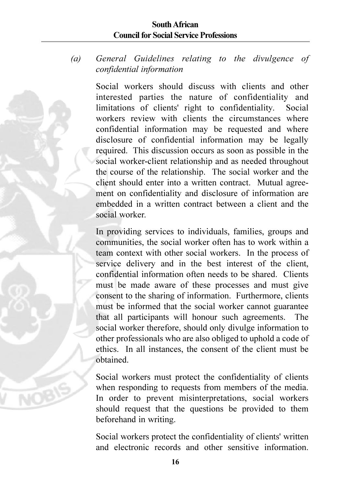#### South African **Council for Social Service Professions**

#### General Guidelines relating to the divulgence of  $(a)$ confidential information

Social workers should discuss with clients and other interested parties the nature of confidentiality and limitations of clients' right to confidentiality. Social workers review with clients the circumstances where confidential information may be requested and where disclosure of confidential information may be legally required. This discussion occurs as soon as possible in the social worker-client relationship and as needed throughout the course of the relationship. The social worker and the client should enter into a written contract. Mutual agreement on confidentiality and disclosure of information are embedded in a written contract between a client and the social worker

In providing services to individuals, families, groups and communities the social worker often has to work within a team context with other social workers. In the process of service delivery and in the best interest of the client. confidential information often needs to be shared. Clients must be made aware of these processes and must give consent to the sharing of information. Furthermore, clients must be informed that the social worker cannot guarantee that all participants will honour such agreements. The social worker therefore, should only divulge information to other professionals who are also obliged to uphold a code of ethics. In all instances, the consent of the client must be obtained

Social workers must protect the confidentiality of clients when responding to requests from members of the media. In order to prevent misinterpretations, social workers should request that the questions be provided to them beforehand in writing.

Social workers protect the confidentiality of clients' written and electronic records and other sensitive information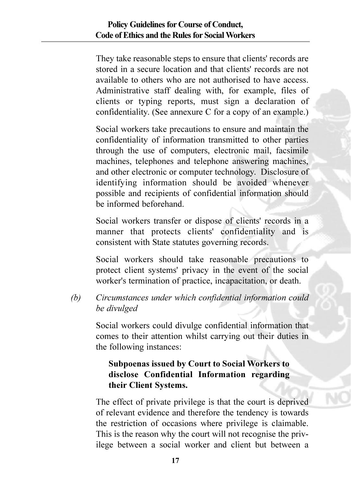They take reasonable steps to ensure that clients' records are stored in a secure location and that clients' records are not available to others who are not authorised to have access Administrative staff dealing with, for example, files of clients or typing reports, must sign a declaration of confidentiality. (See annexure C for a cony of an example.)

Social workers take precautions to ensure and maintain the confidentiality of information transmitted to other parties through the use of computers, electronic mail, facsimile machines, telephones and telephone answering machines. and other electronic or computer technology. Disclosure of identifying information should be avoided whenever possible and recipients of confidential information should be informed beforehand

Social workers transfer or dispose of clients' records in a manner that protects clients' confidentiality and is consistent with State statutes governing records.

Social workers should take reasonable precautions to protect client systems' privacy in the event of the social worker's termination of practice, incapacitation, or death.

(b) Circumstances under which confidential information could be divulged

> Social workers could divulge confidential information that comes to their attention whilst carrying out their duties in the following instances:

## **Subpoenas issued by Court to Social Workers to** disclose Confidential Information regarding their Client Systems.

The effect of private privilege is that the court is deprived of relevant evidence and therefore the tendency is towards the restriction of occasions where privilege is claimable. This is the reason why the court will not recognise the privilege between a social worker and client but between a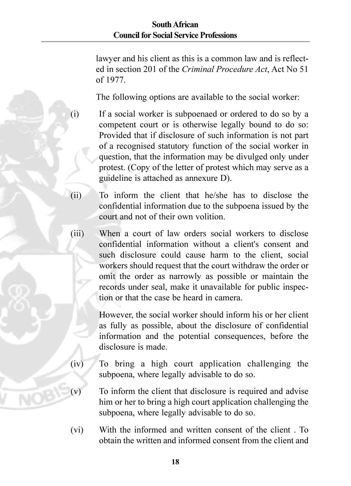$(i)$ 

 $(v)$ 

lawyer and his client as this is a common law and is reflected in section 201 of the Criminal Procedure Act. Act No 51  $of 1977$ 

The following options are available to the social worker:

- If a social worker is subpoenaed or ordered to do so by a competent court or is otherwise legally bound to do so: Provided that if disclosure of such information is not part of a recognised statutory function of the social worker in question, that the information may be divulged only under protest. (Copy of the letter of protest which may serve as a guideline is attached as annexure D).
- $(ii)$ To inform the client that he/she has to disclose the confidential information due to the subpoena issued by the court and not of their own volition
- When a court of law orders social workers to disclose  $(iii)$ confidential information without a client's consent and such disclosure could cause harm to the client, social workers should request that the court withdraw the order or omit the order as narrowly as possible or maintain the records under seal, make it unavailable for public inspection or that the case be heard in camera.

However, the social worker should inform his or her client as fully as possible, about the disclosure of confidential information and the potential consequences, before the disclosure is made

- $(iv)$ To bring a high court application challenging the subpoena, where legally advisable to do so.
	- To inform the client that disclosure is required and advise him or her to bring a high court application challenging the subpoena, where legally advisable to do so.
- With the informed and written consent of the client. To  $(vi)$ obtain the written and informed consent from the client and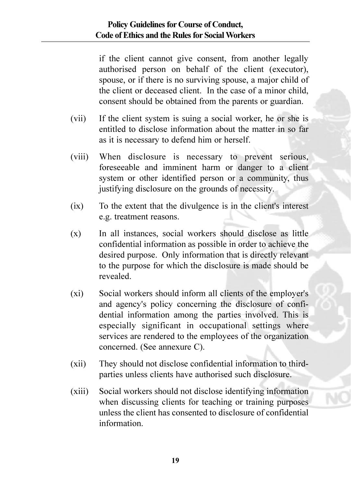if the client cannot give consent, from another legally authorised person on behalf of the client (executor). spouse, or if there is no surviving spouse, a major child of the client or deceased client. In the case of a minor child. consent should be obtained from the parents or guardian.

- $(vii)$ If the client system is suing a social worker, he or she is entitled to disclose information about the matter in so far as it is necessary to defend him or herself.
- $(viii)$ When disclosure is necessary to prevent serious. foreseeable and imminent harm or danger to a client system or other identified person or a community, thus justifying disclosure on the grounds of necessity.
- To the extent that the divulgence is in the client's interest  $(ix)$ e.g. treatment reasons.
- $(x)$ In all instances, social workers should disclose as little confidential information as possible in order to achieve the desired purpose. Only information that is directly relevant to the purpose for which the disclosure is made should be revealed
- $(x_i)$ Social workers should inform all clients of the employer's and agency's policy concerning the disclosure of confidential information among the parties involved. This is especially significant in occupational settings where services are rendered to the employees of the organization concerned. (See annexure C).
- They should not disclose confidential information to third- $(xii)$ parties unless clients have authorised such disclosure.
- Social workers should not disclose identifying information  $(xiii)$ when discussing clients for teaching or training purposes unless the client has consented to disclosure of confidential information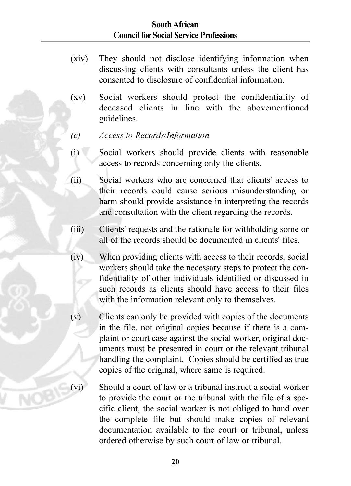#### **South African Council for Social Service Professions**

- $(xiv)$ They should not disclose identifying information when discussing clients with consultants unless the client has consented to disclosure of confidential information
- $(xy)$ Social workers should protect the confidentiality of deceased clients in line with the abovementioned guidelines.
- $(c)$ **Access to Records/Information**
- $(i)$ Social workers should provide clients with reasonable access to records concerning only the clients.
- $(i)$ Social workers who are concerned that clients' access to their records could cause serious misunderstanding or harm should provide assistance in interpreting the records and consultation with the client regarding the records.
- Clients' requests and the rationale for withholding some or  $(iii)$ all of the records should be documented in clients' files
- $(iv)$ When providing clients with access to their records, social workers should take the necessary steps to protect the confidentiality of other individuals identified or discussed in such records as clients should have access to their files with the information relevant only to themselves.
- $(v)$ Clients can only be provided with copies of the documents in the file, not original copies because if there is a complaint or court case against the social worker, original documents must be presented in court or the relevant tribunal handling the complaint. Copies should be certified as true copies of the original, where same is required.

 $(vi)$ Should a court of law or a tribunal instruct a social worker to provide the court or the tribunal with the file of a specific client, the social worker is not obliged to hand over the complete file but should make copies of relevant documentation available to the court or tribunal, unless ordered otherwise by such court of law or tribunal.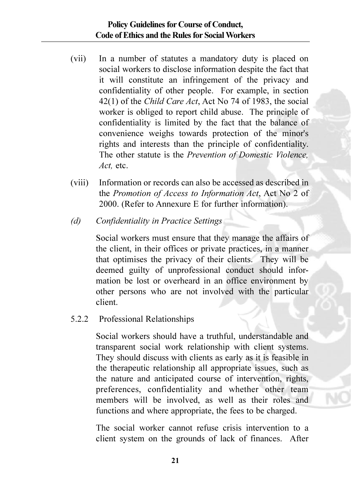### **Policy Guidelines for Course of Conduct,** Code of Ethics and the Rules for Social Workers

- $(vii)$ In a number of statutes a mandatory duty is placed on social workers to disclose information despite the fact that it will constitute an infringement of the privacy and confidentiality of other people. For example, in section 42(1) of the *Child Care Act*, Act No 74 of 1983, the social worker is obliged to report child abuse. The principle of confidentiality is limited by the fact that the balance of convenience weighs towards protection of the minor's rights and interests than the principle of confidentiality. The other statute is the Prevention of Domestic Violence, Act. etc.
- Information or records can also be accessed as described in  $(viii)$ the Promotion of Access to Information Act, Act No 2 of 2000. (Refer to Annexure E for further information).
- Confidentiality in Practice Settings  $(d)$

Social workers must ensure that they manage the affairs of the client, in their offices or private practices, in a manner that optimises the privacy of their clients. They will be deemed guilty of unprofessional conduct should information be lost or overheard in an office environment by other persons who are not involved with the particular client.

Professional Relationships 522

> Social workers should have a truthful, understandable and transparent social work relationship with client systems. They should discuss with clients as early as it is feasible in the therapeutic relationship all appropriate issues, such as the nature and anticipated course of intervention, rights, preferences, confidentiality and whether other team members will be involved as well as their roles and functions and where appropriate, the fees to be charged.

> The social worker cannot refuse crisis intervention to a client system on the grounds of lack of finances. After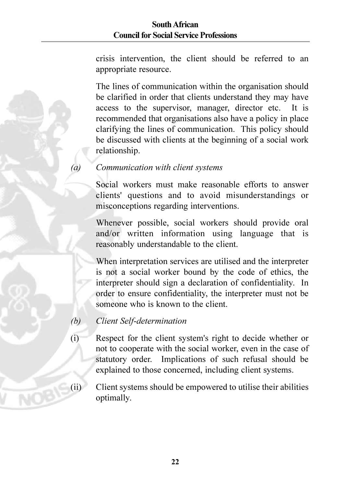### South African **Council for Social Service Professions**

crisis intervention, the client should be referred to an appropriate resource.

The lines of communication within the organisation should be clarified in order that clients understand they may have access to the supervisor, manager, director etc. It is recommended that organisations also have a policy in place clarifying the lines of communication. This policy should be discussed with clients at the beginning of a social work relationship.

#### Communication with client systems

Social workers must make reasonable efforts to answer clients' questions and to avoid misunderstandings or misconceptions regarding interventions.

Whenever possible, social workers should provide oral and/or written information using language that is reasonably understandable to the client.

When interpretation services are utilised and the interpreter is not a social worker bound by the code of ethics, the interpreter should sign a declaration of confidentiality. In order to ensure confidentiality, the interpreter must not be someone who is known to the client.

#### $(b)$ Client Self-determination

 $(i)$ Respect for the client system's right to decide whether or not to cooperate with the social worker, even in the case of statutory order. Implications of such refusal should be explained to those concerned, including client systems.

 $(ii)$ Client systems should be empowered to utilise their abilities optimally.

 $(a)$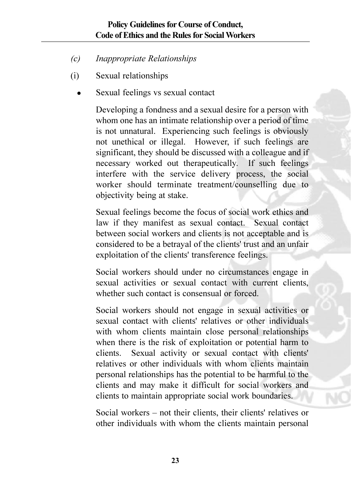- $(c)$ Inappropriate Relationships
- Sexual relationships  $(i)$ 
	- Sexual feelings vs sexual contact

Developing a fondness and a sexual desire for a person with whom one has an intimate relationship over a period of time is not unnatural. Experiencing such feelings is obviously not unethical or illegal. However, if such feelings are significant, they should be discussed with a colleague and if necessary worked out therapeutically. If such feelings interfere with the service delivery process, the social worker should terminate treatment/counselling due to objectivity being at stake.

Sexual feelings become the focus of social work ethics and law if they manifest as sexual contact. Sexual contact between social workers and clients is not acceptable and is considered to be a betrayal of the clients' trust and an unfair exploitation of the clients' transference feelings.

Social workers should under no circumstances engage in sexual activities or sexual contact with current clients. whether such contact is consensual or forced

Social workers should not engage in sexual activities or sexual contact with clients' relatives or other individuals with whom clients maintain close personal relationships when there is the risk of exploitation or potential harm to Sexual activity or sexual contact with clients' clients. relatives or other individuals with whom clients maintain personal relationships has the potential to be harmful to the clients and may make it difficult for social workers and clients to maintain appropriate social work boundaries.

Social workers – not their clients, their clients' relatives or other individuals with whom the clients maintain personal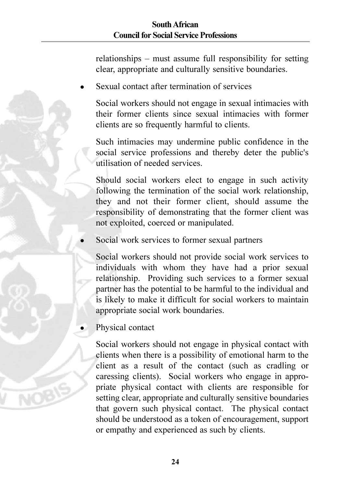relationships – must assume full responsibility for setting clear, appropriate and culturally sensitive boundaries.

Sexual contact after termination of services

Social workers should not engage in sexual intimacies with their former clients since sexual intimacies with former clients are so frequently harmful to clients.

Such intimacies may undermine public confidence in the social service professions and thereby deter the public's utilisation of needed services

Should social workers elect to engage in such activity following the termination of the social work relationship, they and not their former client, should assume the responsibility of demonstrating that the former client was not exploited, coerced or manipulated.

Social work services to former sexual partners

Social workers should not provide social work services to individuals with whom they have had a prior sexual relationship. Providing such services to a former sexual partner has the potential to be harmful to the individual and is likely to make it difficult for social workers to maintain appropriate social work boundaries.

Physical contact

Social workers should not engage in physical contact with clients when there is a possibility of emotional harm to the client as a result of the contact (such as cradling or caressing clients). Social workers who engage in appropriate physical contact with clients are responsible for setting clear, appropriate and culturally sensitive boundaries that govern such physical contact. The physical contact should be understood as a token of encouragement, support or empathy and experienced as such by clients.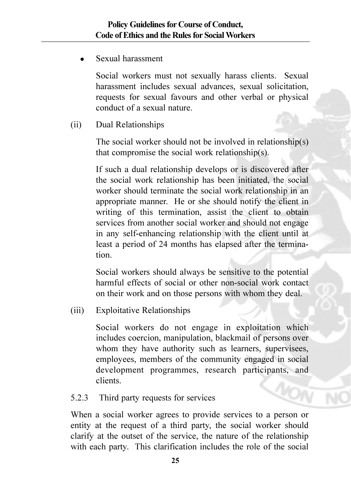Sexual harassment

Social workers must not sexually harass clients. Sexual harassment includes sexual advances, sexual solicitation. requests for sexual favours and other verbal or physical conduct of a sexual nature.

Dual Relationships  $(ii)$ 

> The social worker should not be involved in relationship( $s$ ) that compromise the social work relationship(s).

> If such a dual relationship develops or is discovered after the social work relationship has been initiated, the social worker should terminate the social work relationship in an appropriate manner. He or she should notify the client in writing of this termination, assist the client to obtain services from another social worker and should not engage in any self-enhancing relationship with the client until at least a period of 24 months has elapsed after the termination

> Social workers should always be sensitive to the potential harmful effects of social or other non-social work contact on their work and on those persons with whom they deal.

 $(iii)$ **Exploitative Relationships** 

> Social workers do not engage in exploitation which includes coercion, manipulation, blackmail of persons over whom they have authority such as learners, supervisees, employees, members of the community engaged in social development programmes, research participants, and clients

#### 5.2.3 Third party requests for services

When a social worker agrees to provide services to a person or entity at the request of a third party, the social worker should clarify at the outset of the service, the nature of the relationship with each party. This clarification includes the role of the social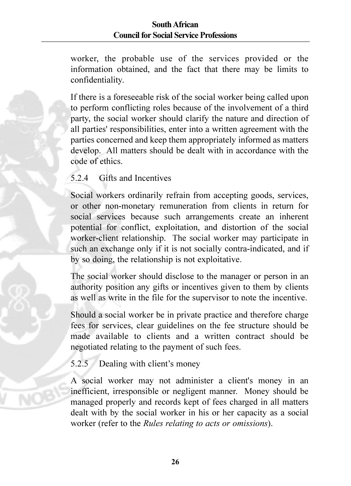worker, the probable use of the services provided or the information obtained, and the fact that there may be limits to confidentiality.

If there is a foreseeable risk of the social worker being called upon to perform conflicting roles because of the involvement of a third party, the social worker should clarify the nature and direction of all parties' responsibilities, enter into a written agreement with the parties concerned and keep them appropriately informed as matters develop. All matters should be dealt with in accordance with the code of ethics.

#### $524$ Gifts and Incentives

Social workers ordinarily refrain from accepting goods, services, or other non-monetary remuneration from clients in return for social services because such arrangements create an inherent potential for conflict, exploitation, and distortion of the social worker-client relationship. The social worker may participate in such an exchange only if it is not socially contra-indicated, and if by so doing, the relationship is not exploitative.

The social worker should disclose to the manager or person in an authority position any gifts or incentives given to them by clients as well as write in the file for the supervisor to note the incentive.

Should a social worker be in private practice and therefore charge fees for services, clear guidelines on the fee structure should be made available to clients and a written contract should be negotiated relating to the payment of such fees.

Dealing with client's money  $5.2.5$ 

A social worker may not administer a client's money in an inefficient, irresponsible or negligent manner. Money should be managed properly and records kept of fees charged in all matters dealt with by the social worker in his or her capacity as a social worker (refer to the *Rules relating to acts or omissions*).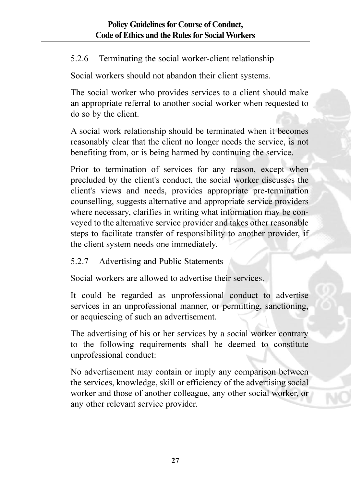Terminating the social worker-client relationship 5.2.6

Social workers should not abandon their client systems.

The social worker who provides services to a client should make an appropriate referral to another social worker when requested to do so by the client.

A social work relationship should be terminated when it becomes reasonably clear that the client no longer needs the service, is not benefiting from, or is being harmed by continuing the service.

Prior to termination of services for any reason, except when precluded by the client's conduct, the social worker discusses the client's views and needs, provides appropriate pre-termination counselling, suggests alternative and appropriate service providers where necessary, clarifies in writing what information may be conveyed to the alternative service provider and takes other reasonable steps to facilitate transfer of responsibility to another provider, if the client system needs one immediately.

#### 5.2.7 Advertising and Public Statements

Social workers are allowed to advertise their services

It could be regarded as unprofessional conduct to advertise services in an unprofessional manner, or permitting, sanctioning, or acquiescing of such an advertisement.

The advertising of his or her services by a social worker contrary to the following requirements shall be deemed to constitute unprofessional conduct:

No advertisement may contain or imply any comparison between the services, knowledge, skill or efficiency of the advertising social worker and those of another colleague, any other social worker, or any other relevant service provider.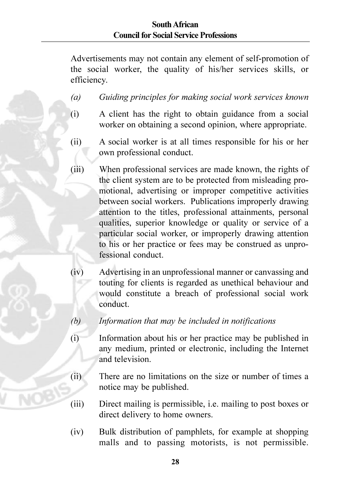Advertisements may not contain any element of self-promotion of the social worker, the quality of his/her services skills, or efficiency.

- Guiding principles for making social work services known  $(a)$
- A client has the right to obtain guidance from a social  $(i)$ worker on obtaining a second opinion, where appropriate.
- A social worker is at all times responsible for his or her  $(i)$ own professional conduct.
- $(iii)$ When professional services are made known, the rights of the client system are to be protected from misleading promotional, advertising or improper competitive activities between social workers. Publications improperly drawing attention to the titles, professional attainments, personal qualities, superior knowledge or quality or service of a particular social worker, or improperly drawing attention to his or her practice or fees may be construed as unprofessional conduct
- $(iv)$ Advertising in an unprofessional manner or canvassing and touting for clients is regarded as unethical behaviour and would constitute a breach of professional social work conduct
- $(b)$ Information that may be included in notifications
- $(i)$ Information about his or her practice may be published in any medium, printed or electronic, including the Internet and television.
- There are no limitations on the size or number of times a  $(ii)$ notice may be published.
- $(iii)$ Direct mailing is permissible, i.e. mailing to post boxes or direct delivery to home owners.
- $(iv)$ Bulk distribution of pamphlets, for example at shopping malls and to passing motorists, is not permissible.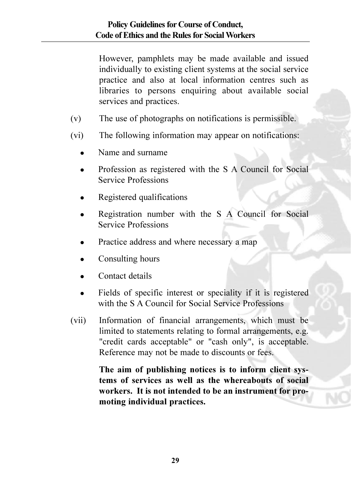However, pamphlets may be made available and issued individually to existing client systems at the social service practice and also at local information centres such as libraries to persons enquiring about available social services and practices.

- $(v)$ The use of photographs on notifications is permissible.
- The following information may appear on notifications:  $(vi)$ 
	- Name and surname
	- Profession as registered with the S A Council for Social Service Professions
	- Registered qualifications
	- Registration number with the S A Council for Social Service Professions
	- Practice address and where necessary a map
	- Consulting hours
	- Contact details
	- Fields of specific interest or speciality if it is registered with the S A Council for Social Service Professions
- $(vii)$ Information of financial arrangements, which must be limited to statements relating to formal arrangements, e.g. "credit cards acceptable" or "cash only", is acceptable. Reference may not be made to discounts or fees.

The aim of publishing notices is to inform client systems of services as well as the whereabouts of social workers. It is not intended to be an instrument for promoting individual practices.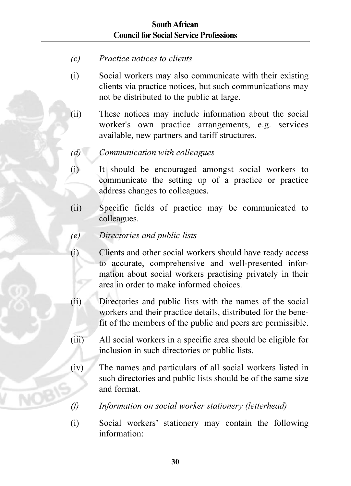### **South African Council for Social Service Professions**

- Practice notices to clients  $(c)$
- Social workers may also communicate with their existing  $(i)$ clients via practice notices, but such communications may not be distributed to the public at large.
- $(i)$ These notices may include information about the social worker's own practice arrangements, e.g. services available, new partners and tariff structures.
- $(d)$ Communication with colleagues
- $(i)$ It should be encouraged amongst social workers to communicate the setting up of a practice or practice address changes to colleagues.
- $(ii)$ Specific fields of practice may be communicated to colleagues.
- $(e)$ Directories and public lists
- Clients and other social workers should have ready access  $(i)$ to accurate, comprehensive and well-presented information about social workers practising privately in their area in order to make informed choices.
- $(i)$ Directories and public lists with the names of the social workers and their practice details, distributed for the benefit of the members of the public and peers are permissible.
- $(iii)$ All social workers in a specific area should be eligible for inclusion in such directories or public lists.
- The names and particulars of all social workers listed in  $(iv)$ such directories and public lists should be of the same size and format.
- Information on social worker stationery (letterhead)  $(f)$
- $(i)$ Social workers' stationery may contain the following information: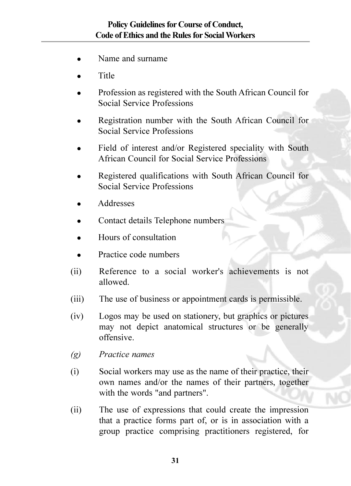- Name and surname
- Title
- Profession as registered with the South African Council for Social Service Professions
- Registration number with the South African Council for Social Service Professions
- Field of interest and/or Registered speciality with South  $\bullet$ African Council for Social Service Professions
- Registered qualifications with South African Council for Social Service Professions
- Addresses
- Contact details Telephone numbers
- Hours of consultation
- Practice code numbers
- Reference to a social worker's achievements is not  $(ii)$ allowed
- $(iii)$ The use of business or appointment cards is permissible.
- Logos may be used on stationery, but graphics or pictures  $(iv)$ may not depict anatomical structures or be generally offensive
- Practice names  $(g)$
- Social workers may use as the name of their practice, their  $(i)$ own names and/or the names of their partners, together with the words "and partners".
- The use of expressions that could create the impression  $(ii)$ that a practice forms part of, or is in association with a group practice comprising practitioners registered, for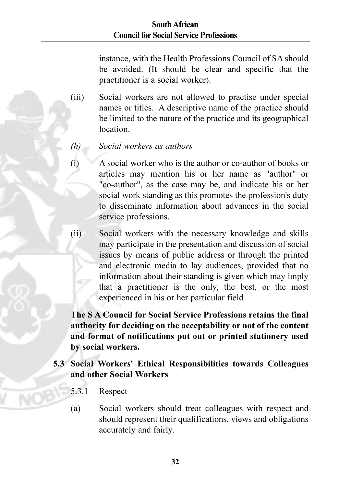instance, with the Health Professions Council of SA should be avoided. (It should be clear and specific that the practitioner is a social worker).

- Social workers are not allowed to practise under special  $(iii)$ names or titles. A descriptive name of the practice should be limited to the nature of the practice and its geographical location
- Social workers as authors  $(h)$

 $(i)$ 

- A social worker who is the author or co-author of books or articles may mention his or her name as "author" or "co-author", as the case may be, and indicate his or her social work standing as this promotes the profession's duty to disseminate information about advances in the social service professions.
- $(ii)$ Social workers with the necessary knowledge and skills may participate in the presentation and discussion of social issues by means of public address or through the printed and electronic media to lay audiences, provided that no information about their standing is given which may imply that a practitioner is the only, the best, or the most experienced in his or her particular field

The S A Council for Social Service Professions retains the final authority for deciding on the acceptability or not of the content and format of notifications put out or printed stationery used by social workers.

- 5.3 Social Workers' Ethical Responsibilities towards Colleagues and other Social Workers
	- 5.3.1 Respect
	- $(a)$ Social workers should treat colleagues with respect and should represent their qualifications, views and obligations accurately and fairly.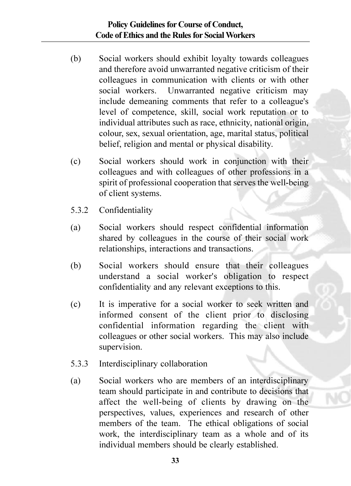- Social workers should exhibit loyalty towards colleagues  $(h)$ and therefore avoid unwarranted negative criticism of their colleagues in communication with clients or with other social workers. Unwarranted negative criticism may include demeaning comments that refer to a colleague's level of competence, skill, social work reputation or to individual attributes such as race, ethnicity, national origin, colour, sex, sexual orientation, age, marital status, political belief, religion and mental or physical disability.
- $(c)$ Social workers should work in conjunction with their colleagues and with colleagues of other professions in a spirit of professional cooperation that serves the well-being of client systems.
- 5.3.2 Confidentiality
- Social workers should respect confidential information  $(a)$ shared by colleagues in the course of their social work relationships, interactions and transactions.
- Social workers should ensure that their colleagues  $(b)$ understand a social worker's obligation to respect confidentiality and any relevant exceptions to this.
- $(c)$ It is imperative for a social worker to seek written and informed consent of the client prior to disclosing confidential information regarding the client with colleagues or other social workers. This may also include supervision.
- Interdisciplinary collaboration 5.3.3
- Social workers who are members of an interdisciplinary  $(a)$ team should participate in and contribute to decisions that affect the well-being of clients by drawing on the perspectives, values, experiences and research of other members of the team. The ethical obligations of social work, the interdisciplinary team as a whole and of its individual members should be clearly established.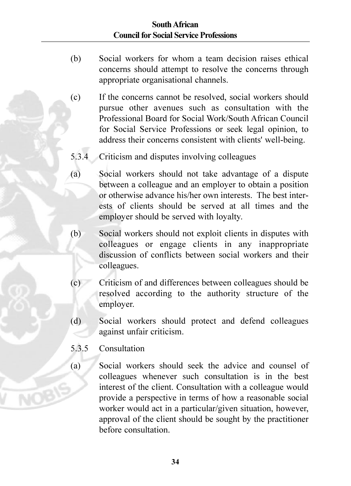### South African **Council for Social Service Professions**

- Social workers for whom a team decision raises ethical  $(b)$ concerns should attempt to resolve the concerns through appropriate organisational channels.
- If the concerns cannot be resolved, social workers should  $(c)$ pursue other avenues such as consultation with the Professional Board for Social Work/South African Council for Social Service Professions or seek legal opinion, to address their concerns consistent with clients' well-being.
- 5.3.4 Criticism and disputes involving colleagues
- $(a)$ Social workers should not take advantage of a dispute between a colleague and an employer to obtain a position or otherwise advance his/her own interests. The best interests of clients should be served at all times and the employer should be served with lovalty.
- $(b)$ Social workers should not exploit clients in disputes with colleagues or engage clients in any inappropriate discussion of conflicts between social workers and their colleagues.
- Criticism of and differences between colleagues should be  $(c)$ resolved according to the authority structure of the employer.
- Social workers should protect and defend colleagues  $\overline{d}$ against unfair criticism.
- 535 Consultation
- Social workers should seek the advice and counsel of  $(a)$ colleagues whenever such consultation is in the best interest of the client. Consultation with a colleague would provide a perspective in terms of how a reasonable social worker would act in a particular/given situation, however, approval of the client should be sought by the practitioner before consultation.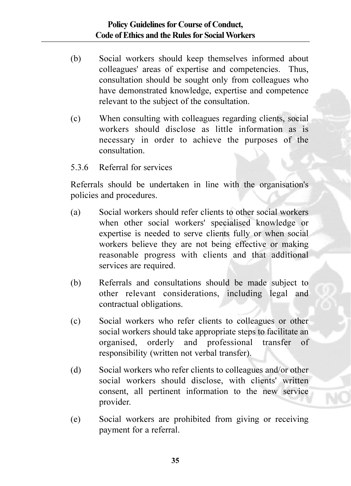- Social workers should keep themselves informed about  $(h)$ colleagues' areas of expertise and competencies. Thus, consultation should be sought only from colleagues who have demonstrated knowledge, expertise and competence relevant to the subject of the consultation.
- When consulting with colleagues regarding clients, social  $(c)$ workers should disclose as little information as is necessary in order to achieve the nurnoses of the consultation
- 536 Referral for services

Referrals should be undertaken in line with the organisation's policies and procedures.

- Social workers should refer clients to other social workers  $(a)$ when other social workers' specialised knowledge or expertise is needed to serve clients fully or when social workers believe they are not being effective or making reasonable progress with clients and that additional services are required.
- Referrals and consultations should be made subject to  $(b)$ other relevant considerations, including legal and contractual obligations.
- Social workers who refer clients to colleagues or other  $(c)$ social workers should take appropriate steps to facilitate an organised, orderly and professional transfer of responsibility (written not verbal transfer).
- Social workers who refer clients to colleagues and/or other  $(d)$ social workers should disclose, with clients' written consent, all pertinent information to the new service provider.
- Social workers are prohibited from giving or receiving  $(e)$ payment for a referral.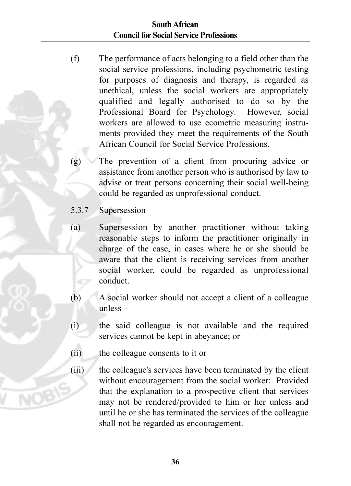### **South African Council for Social Service Professions**

- $(f)$ The performance of acts belonging to a field other than the social service professions, including psychometric testing for purposes of diagnosis and therapy, is regarded as unethical, unless the social workers are appropriately qualified and legally authorised to do so by the Professional Board for Psychology. However, social workers are allowed to use ecometric measuring instruments provided they meet the requirements of the South African Council for Social Service Professions
- $(g)$ The prevention of a client from procuring advice or assistance from another person who is authorised by law to advise or treat persons concerning their social well-being could be regarded as unprofessional conduct.
- 5.3.7 Supersession
- $(a)$ Supersession by another practitioner without taking reasonable steps to inform the practitioner originally in charge of the case, in cases where he or she should be aware that the client is receiving services from another social worker, could be regarded as unprofessional conduct
- $(b)$ A social worker should not accept a client of a colleague  $unless -$
- the said colleague is not available and the required  $(i)$ services cannot be kept in abeyance; or
- $(ii)$ the colleague consents to it or
- $(iii)$ the colleague's services have been terminated by the client without encouragement from the social worker: Provided that the explanation to a prospective client that services may not be rendered/provided to him or her unless and until he or she has terminated the services of the colleague shall not be regarded as encouragement.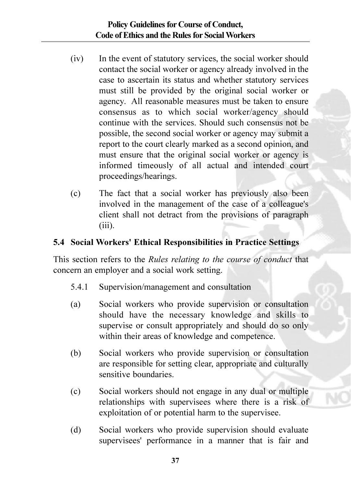- In the event of statutory services, the social worker should  $(iv)$ contact the social worker or agency already involved in the case to ascertain its status and whether statutory services must still be provided by the original social worker or agency. All reasonable measures must be taken to ensure consensus as to which social worker/agency should continue with the services. Should such consensus not be possible, the second social worker or agency may submit a report to the court clearly marked as a second opinion, and must ensure that the original social worker or agency is informed timeously of all actual and intended court proceedings/hearings.
- The fact that a social worker has previously also been  $(c)$ involved in the management of the case of a colleague's client shall not detract from the provisions of paragraph  $(iii)$ .

### 5.4 Social Workers' Ethical Responsibilities in Practice Settings

This section refers to the Rules relating to the course of conduct that concern an employer and a social work setting.

- 5.4.1 Supervision/management and consultation
- Social workers who provide supervision or consultation  $(a)$ should have the necessary knowledge and skills to supervise or consult appropriately and should do so only within their areas of knowledge and competence.
- Social workers who provide supervision or consultation (b) are responsible for setting clear, appropriate and culturally sensitive boundaries.
- Social workers should not engage in any dual or multiple  $(c)$ relationships with supervisees where there is a risk of exploitation of or potential harm to the supervisee.
- $(d)$ Social workers who provide supervision should evaluate supervisees' performance in a manner that is fair and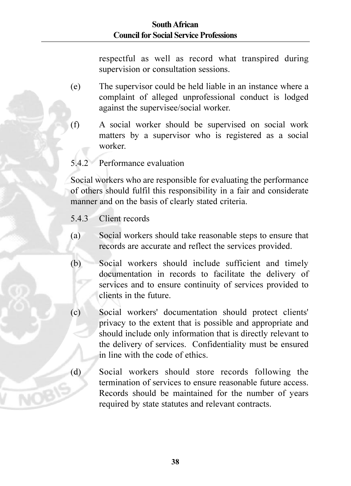respectful as well as record what transpired during supervision or consultation sessions.

- $(e)$ The supervisor could be held liable in an instance where a complaint of alleged unprofessional conduct is lodged against the supervisee/social worker.
- A social worker should be supervised on social work  $(f)$ matters by a supervisor who is registered as a social worker

#### 542 Performance evaluation

Social workers who are responsible for evaluating the performance of others should fulfil this responsibility in a fair and considerate manner and on the basis of clearly stated criteria.

#### $5.4.3$ Client records

- $(a)$ Social workers should take reasonable steps to ensure that records are accurate and reflect the services provided.
- $(b)$ Social workers should include sufficient and timely documentation in records to facilitate the delivery of services and to ensure continuity of services provided to clients in the future
- $(c)$ Social workers' documentation should protect clients' privacy to the extent that is possible and appropriate and should include only information that is directly relevant to the delivery of services. Confidentiality must be ensured in line with the code of ethics
- $(d)$ Social workers should store records following the termination of services to ensure reasonable future access. Records should be maintained for the number of years required by state statutes and relevant contracts.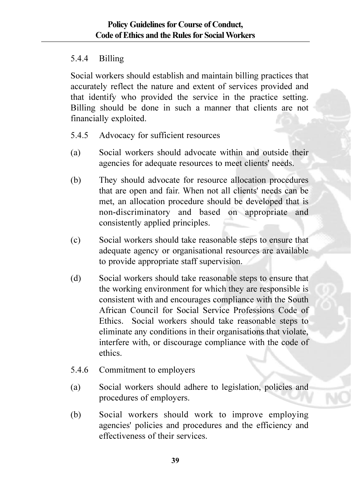#### 5.4.4 Billing

Social workers should establish and maintain billing practices that accurately reflect the nature and extent of services provided and that identify who provided the service in the practice setting. Billing should be done in such a manner that clients are not financially exploited.

- Advocacy for sufficient resources 5.4.5
- $(a)$ Social workers should advocate within and outside their agencies for adequate resources to meet clients' needs.
- They should advocate for resource allocation procedures  $(b)$ that are open and fair. When not all clients' needs can be met, an allocation procedure should be developed that is non-discriminatory and based on appropriate and consistently applied principles.
- $(c)$ Social workers should take reasonable steps to ensure that adequate agency or organisational resources are available to provide appropriate staff supervision.
- $(d)$ Social workers should take reasonable steps to ensure that the working environment for which they are responsible is consistent with and encourages compliance with the South African Council for Social Service Professions Code of Ethics. Social workers should take reasonable steps to eliminate any conditions in their organisations that violate, interfere with, or discourage compliance with the code of ethics
- 546 Commitment to employers
- Social workers should adhere to legislation, policies and  $(a)$ procedures of employers.
- (b) Social workers should work to improve employing agencies' policies and procedures and the efficiency and effectiveness of their services.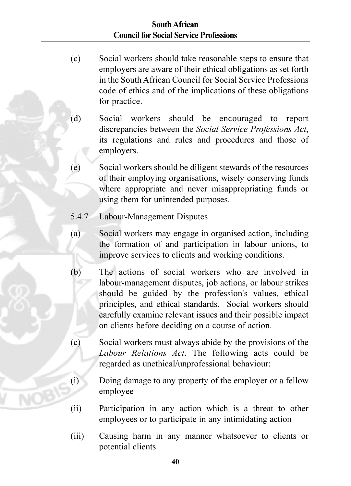### **South African Council for Social Service Professions**

- $(c)$ Social workers should take reasonable steps to ensure that employers are aware of their ethical obligations as set forth in the South African Council for Social Service Professions code of ethics and of the implications of these obligations for practice.
- $(d)$ Social workers should be encouraged to report discrepancies between the Social Service Professions Act, its regulations and rules and procedures and those of employers.
- Social workers should be diligent stewards of the resources  $(e)$ of their employing organisations, wisely conserving funds where appropriate and never misappropriating funds or using them for unintended purposes.
- 547 Labour-Management Disputes
- $(a)$ Social workers may engage in organised action, including the formation of and participation in labour unions, to improve services to clients and working conditions.
- $(b)$ The actions of social workers who are involved in labour-management disputes, job actions, or labour strikes should be guided by the profession's values, ethical principles, and ethical standards. Social workers should carefully examine relevant issues and their possible impact on clients before deciding on a course of action.
- Social workers must always abide by the provisions of the  $(c)$ Labour Relations Act. The following acts could be regarded as unethical/unprofessional behaviour:
- $(i)$ Doing damage to any property of the employer or a fellow employee
- Participation in any action which is a threat to other  $(i)$ employees or to participate in any intimidating action
- $(iii)$ Causing harm in any manner whatsoever to clients or potential clients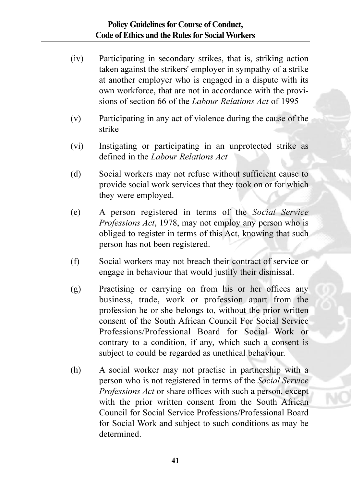- Participating in secondary strikes, that is, striking action  $(iv)$ taken against the strikers' employer in sympathy of a strike at another employer who is engaged in a dispute with its own workforce, that are not in accordance with the provisions of section 66 of the Labour Relations Act of 1995
- $(v)$ Participating in any act of violence during the cause of the strike
- $(vi)$ Instigating or participating in an unprotected strike as defined in the Labour Relations Act
- $(d)$ Social workers may not refuse without sufficient cause to provide social work services that they took on or for which they were employed.
- A person registered in terms of the Social Service  $(e)$ Professions Act, 1978, may not employ any person who is obliged to register in terms of this Act, knowing that such person has not been registered.
- $(f)$ Social workers may not breach their contract of service or engage in behaviour that would justify their dismissal.
- Practising or carrying on from his or her offices any  $(g)$ business, trade, work or profession apart from the profession he or she belongs to, without the prior written consent of the South African Council For Social Service Professions/Professional Board for Social Work or contrary to a condition, if any, which such a consent is subject to could be regarded as unethical behaviour.
- A social worker may not practise in partnership with a  $(h)$ person who is not registered in terms of the Social Service Professions Act or share offices with such a person, except with the prior written consent from the South African Council for Social Service Professions/Professional Board for Social Work and subject to such conditions as may be determined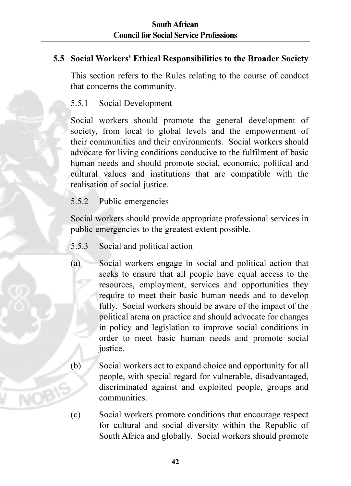### 5.5 Social Workers' Ethical Responsibilities to the Broader Society

This section refers to the Rules relating to the course of conduct that concerns the community.

#### $551$ Social Development

Social workers should promote the general development of society, from local to global levels and the empowerment of their communities and their environments. Social workers should advocate for living conditions conducive to the fulfilment of basic human needs and should promote social, economic, political and cultural values and institutions that are compatible with the realisation of social justice.

### 5.5.2 Public emergencies

Social workers should provide appropriate professional services in public emergencies to the greatest extent possible.

- 5.5.3 Social and political action
- $(a)$ Social workers engage in social and political action that seeks to ensure that all people have equal access to the resources, employment, services and opportunities they require to meet their basic human needs and to develop fully. Social workers should be aware of the impact of the political arena on practice and should advocate for changes in policy and legislation to improve social conditions in order to meet basic human needs and promote social justice.
- $(b)$ Social workers act to expand choice and opportunity for all people, with special regard for vulnerable, disadvantaged, discriminated against and exploited people, groups and communities.
- $(c)$ Social workers promote conditions that encourage respect for cultural and social diversity within the Republic of South Africa and globally. Social workers should promote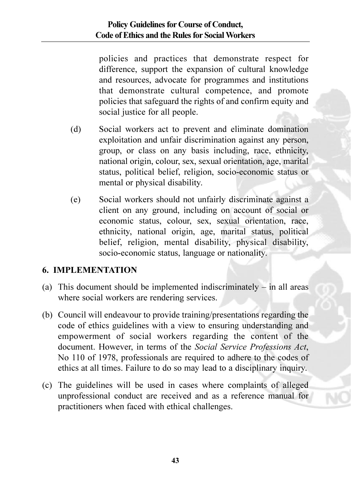policies and practices that demonstrate respect for difference, support the expansion of cultural knowledge and resources, advocate for programmes and institutions that demonstrate cultural competence, and promote policies that safeguard the rights of and confirm equity and social justice for all people.

- Social workers act to prevent and eliminate domination  $(d)$ exploitation and unfair discrimination against any person. group, or class on any basis including, race, ethnicity, national origin, colour, sex, sexual orientation, age, marital status, political belief, religion, socio-economic status or mental or physical disability.
- Social workers should not unfairly discriminate against a  $(e)$ client on any ground, including on account of social or economic status, colour, sex, sexual orientation, race, ethnicity, national origin, age, marital status, political belief, religion, mental disability, physical disability, socio-economic status, language or nationality.

## **6. IMPLEMENTATION**

- (a) This document should be implemented indiscriminately  $-$  in all areas where social workers are rendering services.
- (b) Council will endeavour to provide training/presentations regarding the code of ethics guidelines with a view to ensuring understanding and empowerment of social workers regarding the content of the document. However, in terms of the Social Service Professions Act. No 110 of 1978, professionals are required to adhere to the codes of ethics at all times. Failure to do so may lead to a disciplinary inquiry.
- (c) The guidelines will be used in cases where complaints of alleged unprofessional conduct are received and as a reference manual for practitioners when faced with ethical challenges.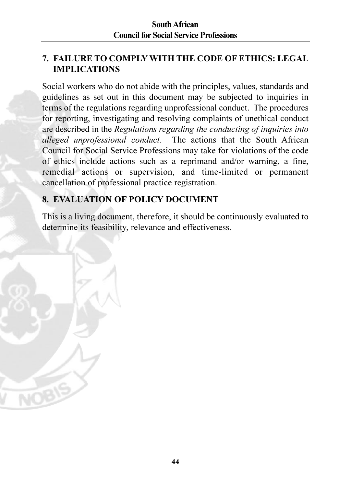# **7 FAILURE TO COMPLY WITH THE CODE OF ETHICS: LEGAL IMPLICATIONS**

Social workers who do not abide with the principles, values, standards and guidelines as set out in this document may be subjected to inquiries in terms of the regulations regarding unprofessional conduct. The procedures for reporting, investigating and resolving complaints of unethical conduct are described in the Regulations regarding the conducting of inquiries into alleged unprofessional conduct. The actions that the South African Council for Social Service Professions may take for violations of the code of ethics include actions such as a reprimand and/or warning, a fine, remedial actions or supervision, and time-limited or permanent cancellation of professional practice registration.

# **8. EVALUATION OF POLICY DOCUMENT**

This is a living document, therefore, it should be continuously evaluated to determine its feasibility, relevance and effectiveness.

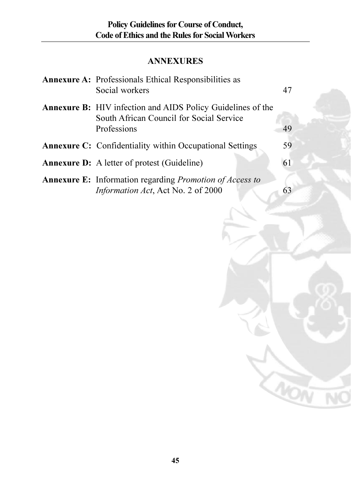# **ANNEXURES**

| <b>Annexure A:</b> Professionals Ethical Responsibilities as<br>Social workers                                                | 47 |
|-------------------------------------------------------------------------------------------------------------------------------|----|
| <b>Annexure B:</b> HIV infection and AIDS Policy Guidelines of the<br>South African Council for Social Service<br>Professions | 49 |
| <b>Annexure C:</b> Confidentiality within Occupational Settings                                                               | 59 |
| <b>Annexure D:</b> A letter of protest (Guideline)                                                                            | 61 |
| <b>Annexure E:</b> Information regarding <i>Promotion of Access to</i><br>Information Act, Act No. 2 of 2000                  |    |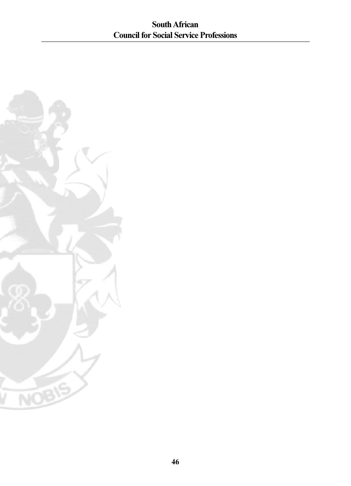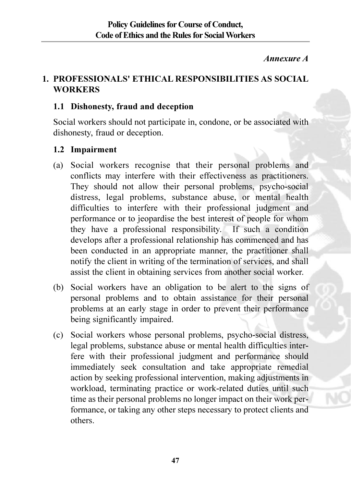### Annexure A

# 1. PROFESSIONALS' ETHICAL RESPONSIBILITIES AS SOCIAL. **WORKERS**

## 1.1 Dishonesty, fraud and deception

Social workers should not participate in, condone, or be associated with dishonesty, fraud or deception.

## 1.2 Impairment

- (a) Social workers recognise that their personal problems and conflicts may interfere with their effectiveness as practitioners. They should not allow their personal problems, psycho-social distress, legal problems, substance abuse, or mental health difficulties to interfere with their professional judgment and performance or to ieopardise the best interest of people for whom they have a professional responsibility. If such a condition develops after a professional relationship has commenced and has been conducted in an appropriate manner, the practitioner shall notify the client in writing of the termination of services, and shall assist the client in obtaining services from another social worker.
- (b) Social workers have an obligation to be alert to the signs of personal problems and to obtain assistance for their personal problems at an early stage in order to prevent their performance being significantly impaired.
- (c) Social workers whose personal problems, psycho-social distress, legal problems, substance abuse or mental health difficulties interfere with their professional judgment and performance should immediately seek consultation and take appropriate remedial action by seeking professional intervention, making adjustments in workload, terminating practice or work-related duties until such time as their personal problems no longer impact on their work performance, or taking any other steps necessary to protect clients and others.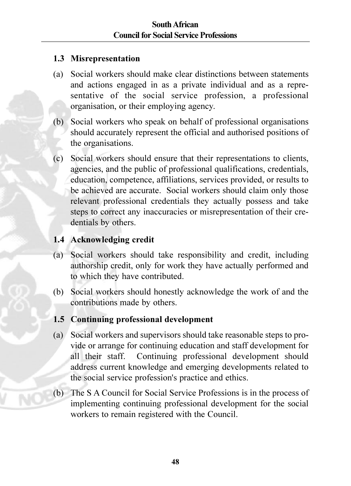### 1.3 Misrepresentation

- (a) Social workers should make clear distinctions between statements and actions engaged in as a private individual and as a representative of the social service profession, a professional organisation, or their employing agency.
- (b) Social workers who speak on behalf of professional organisations should accurately represent the official and authorised positions of the organisations.
- (c) Social workers should ensure that their representations to clients. agencies, and the public of professional qualifications, credentials. education, competence, affiliations, services provided, or results to be achieved are accurate. Social workers should claim only those relevant professional credentials they actually possess and take steps to correct any inaccuracies or misrepresentation of their credentials by others.

# 1.4 Acknowledging credit

- (a) Social workers should take responsibility and credit, including authorship credit, only for work they have actually performed and to which they have contributed.
- (b) Social workers should honestly acknowledge the work of and the contributions made by others.

# 1.5 Continuing professional development

- (a) Social workers and supervisors should take reasonable steps to provide or arrange for continuing education and staff development for all their staff. Continuing professional development should address current knowledge and emerging developments related to the social service profession's practice and ethics.
- (b) The S A Council for Social Service Professions is in the process of implementing continuing professional development for the social workers to remain registered with the Council.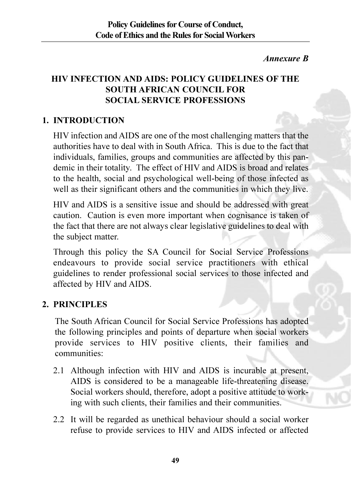### Annexure R

# HIV INFECTION AND AIDS: POLICY GUIDELINES OF THE **SOUTH AFRICAN COUNCIL FOR SOCIAL SERVICE PROFESSIONS**

## 1. INTRODUCTION

HIV infection and AIDS are one of the most challenging matters that the authorities have to deal with in South Africa. This is due to the fact that individuals, families, groups and communities are affected by this pandemic in their totality. The effect of HIV and AIDS is broad and relates to the health, social and psychological well-being of those infected as well as their significant others and the communities in which they live.

HIV and AIDS is a sensitive issue and should be addressed with great caution. Caution is even more important when cognisance is taken of the fact that there are not always clear legislative guidelines to deal with the subject matter.

Through this policy the SA Council for Social Service Professions endeavours to provide social service practitioners with ethical guidelines to render professional social services to those infected and affected by HIV and AIDS.

## 2. PRINCIPLES

The South African Council for Social Service Professions has adopted the following principles and points of departure when social workers provide services to HIV positive clients, their families and communities:

- 2.1 Although infection with HIV and AIDS is incurable at present. AIDS is considered to be a manageable life-threatening disease. Social workers should, therefore, adopt a positive attitude to working with such clients, their families and their communities.
- 2.2 It will be regarded as unethical behaviour should a social worker refuse to provide services to HIV and AIDS infected or affected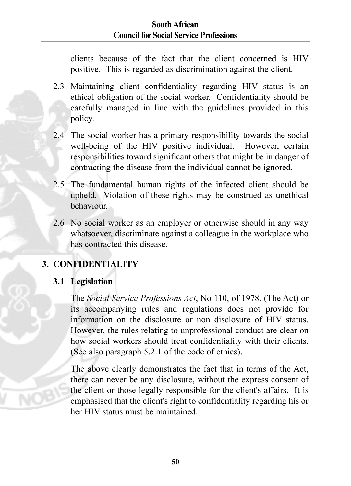clients because of the fact that the client concerned is HIV positive. This is regarded as discrimination against the client.

- 2.3 Maintaining client confidentiality regarding HIV status is an ethical obligation of the social worker. Confidentiality should be carefully managed in line with the guidelines provided in this policy.
- 2.4 The social worker has a primary responsibility towards the social well-being of the HIV positive individual. However, certain responsibilities toward significant others that might be in danger of contracting the disease from the individual cannot be ignored.
- 2.5 The fundamental human rights of the infected client should be upheld. Violation of these rights may be construed as unethical hehaviour
- 2.6 No social worker as an employer or otherwise should in any way whatsoever, discriminate against a colleague in the workplace who has contracted this disease.

## **3. CONFIDENTIALITY**

### 3.1 Legislation

The Social Service Professions Act. No 110, of 1978. (The Act) or its accompanying rules and regulations does not provide for information on the disclosure or non disclosure of HIV status. However, the rules relating to unprofessional conduct are clear on how social workers should treat confidentiality with their clients. (See also paragraph 5.2.1 of the code of ethics).

The above clearly demonstrates the fact that in terms of the Act. there can never be any disclosure, without the express consent of the client or those legally responsible for the client's affairs. It is emphasised that the client's right to confidentiality regarding his or her HIV status must be maintained.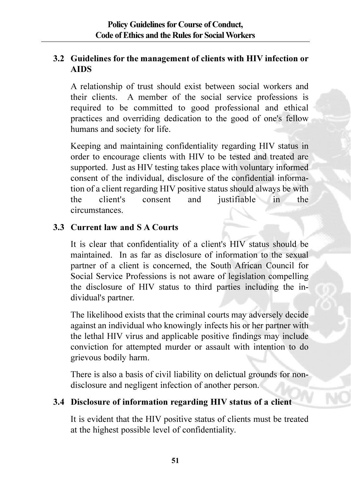## 3.2 Guidelines for the management of clients with HIV infection or **AIDS**

A relationship of trust should exist between social workers and their clients. A member of the social service professions is required to be committed to good professional and ethical practices and overriding dedication to the good of one's fellow humans and society for life.

Keeping and maintaining confidentiality regarding HIV status in order to encourage clients with HIV to be tested and treated are supported. Just as HIV testing takes place with voluntary informed consent of the individual, disclosure of the confidential information of a client regarding HIV positive status should always be with client's consent and iustifiable the  $in$ the circumstances.

## 3.3 Current law and S A Courts

It is clear that confidentiality of a client's HIV status should be maintained. In as far as disclosure of information to the sexual partner of a client is concerned, the South African Council for Social Service Professions is not aware of legislation compelling the disclosure of HIV status to third parties including the individual's partner.

The likelihood exists that the criminal courts may adversely decide against an individual who knowingly infects his or her partner with the lethal HIV virus and applicable positive findings may include conviction for attempted murder or assault with intention to do grievous bodily harm.

There is also a basis of civil liability on delictual grounds for nondisclosure and negligent infection of another person.

## 3.4 Disclosure of information regarding HIV status of a client

It is evident that the HIV positive status of clients must be treated at the highest possible level of confidentiality.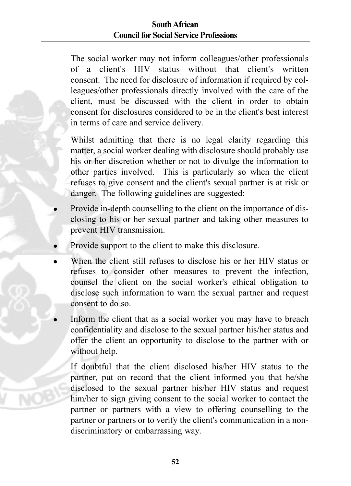### South African **Council for Social Service Professions**

The social worker may not inform colleagues/other professionals of a client's HIV status without that client's written consent. The need for disclosure of information if required by colleagues/other professionals directly involved with the care of the client, must be discussed with the client in order to obtain consent for disclosures considered to be in the client's best interest in terms of care and service delivery.

Whilst admitting that there is no legal clarity regarding this matter, a social worker dealing with disclosure should probably use his or her discretion whether or not to divulge the information to other parties involved. This is particularly so when the client refuses to give consent and the client's sexual partner is at risk or danger. The following guidelines are suggested:

- Provide in-depth counselling to the client on the importance of disclosing to his or her sexual partner and taking other measures to prevent HIV transmission.
- Provide support to the client to make this disclosure.
- When the client still refuses to disclose his or her HIV status or refuses to consider other measures to prevent the infection, counsel the client on the social worker's ethical obligation to disclose such information to warn the sexual partner and request consent to do so
- Inform the client that as a social worker you may have to breach confidentiality and disclose to the sexual partner his/her status and offer the client an opportunity to disclose to the partner with or without help.

If doubtful that the client disclosed his/her HIV status to the partner, put on record that the client informed you that he/she disclosed to the sexual partner his/her HIV status and request him/her to sign giving consent to the social worker to contact the partner or partners with a view to offering counselling to the partner or partners or to verify the client's communication in a nondiscriminatory or embarrassing way.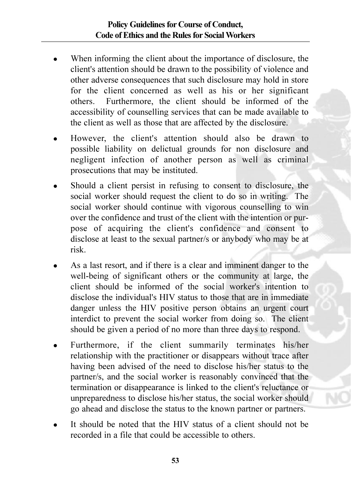- When informing the client about the importance of disclosure, the client's attention should be drawn to the possibility of violence and other adverse consequences that such disclosure may hold in store for the client concerned as well as his or her significant others Furthermore, the client should be informed of the accessibility of counselling services that can be made available to the client as well as those that are affected by the disclosure.
- However, the client's attention should also be drawn to possible liability on delictual grounds for non disclosure and negligent infection of another person as well as criminal prosecutions that may be instituted.
- Should a client persist in refusing to consent to disclosure, the social worker should request the client to do so in writing. The social worker should continue with vigorous counselling to win over the confidence and trust of the client with the intention or purpose of acquiring the client's confidence and consent to disclose at least to the sexual partner/s or anybody who may be at risk
- As a last resort, and if there is a clear and imminent danger to the well-being of significant others or the community at large, the client should be informed of the social worker's intention to disclose the individual's HIV status to those that are in immediate danger unless the HIV positive person obtains an urgent court interdict to prevent the social worker from doing so. The client should be given a period of no more than three days to respond.
- Furthermore, if the client summarily terminates his/her relationship with the practitioner or disappears without trace after having been advised of the need to disclose his/her status to the partner/s, and the social worker is reasonably convinced that the termination or disappearance is linked to the client's reluctance or unpreparedness to disclose his/her status, the social worker should go ahead and disclose the status to the known partner or partners.
- It should be noted that the HIV status of a client should not be recorded in a file that could be accessible to others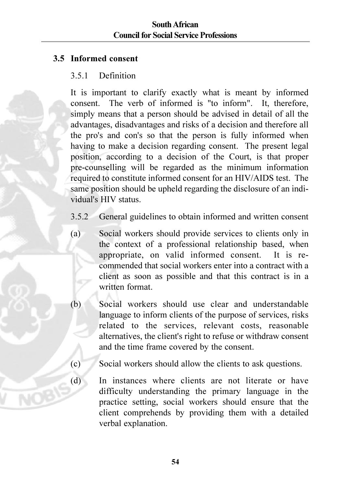### 3.5 Informed consent

#### Definition  $351$

It is important to clarify exactly what is meant by informed consent. The verb of informed is "to inform". It therefore simply means that a person should be advised in detail of all the advantages, disadvantages and risks of a decision and therefore all the pro's and con's so that the person is fully informed when having to make a decision regarding consent. The present legal position, according to a decision of the Court, is that proper pre-counselling will be regarded as the minimum information required to constitute informed consent for an HIV/AIDS test. The same position should be upheld regarding the disclosure of an individual's HIV status.

- 352 General guidelines to obtain informed and written consent
- $(a)$ Social workers should provide services to clients only in the context of a professional relationship based, when appropriate, on valid informed consent. It is  $re$ commended that social workers enter into a contract with a client as soon as possible and that this contract is in a written format
- $(b)$ Social workers should use clear and understandable language to inform clients of the purpose of services, risks related to the services, relevant costs, reasonable alternatives, the client's right to refuse or withdraw consent and the time frame covered by the consent.
	- Social workers should allow the clients to ask questions.
- $(c)$  $(d)$

In instances where clients are not literate or have difficulty understanding the primary language in the practice setting, social workers should ensure that the client comprehends by providing them with a detailed verbal explanation.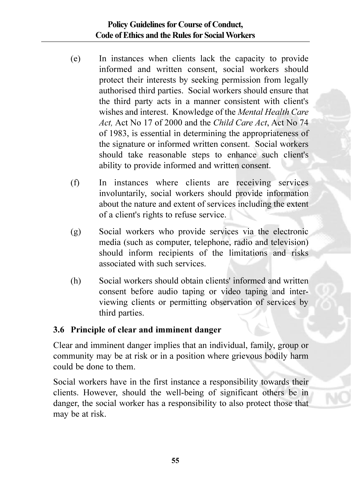## **Policy Guidelines for Course of Conduct,** Code of Ethics and the Rules for Social Workers

- In instances when clients lack the canacity to provide  $(e)$ informed and written consent, social workers should protect their interests by seeking permission from legally authorised third parties. Social workers should ensure that the third party acts in a manner consistent with client's wishes and interest. Knowledge of the Mental Health Care Act. Act No 17 of 2000 and the Child Care Act. Act No 74 of 1983, is essential in determining the appropriateness of the signature or informed written consent. Social workers should take reasonable steps to enhance such client's ability to provide informed and written consent.
- $(f)$ In instances where clients are receiving services involuntarily, social workers should provide information about the nature and extent of services including the extent of a client's rights to refuse service.
- $(g)$ Social workers who provide services via the electronic media (such as computer, telephone, radio and television) should inform recipients of the limitations and risks associated with such services.
- Social workers should obtain clients' informed and written  $(h)$ consent before audio taping or video taping and interviewing clients or permitting observation of services by third parties.

### 3.6 Principle of clear and imminent danger

Clear and imminent danger implies that an individual, family, group or community may be at risk or in a position where grievous bodily harm could be done to them

Social workers have in the first instance a responsibility towards their clients. However, should the well-being of significant others be in danger, the social worker has a responsibility to also protect those that may be at risk.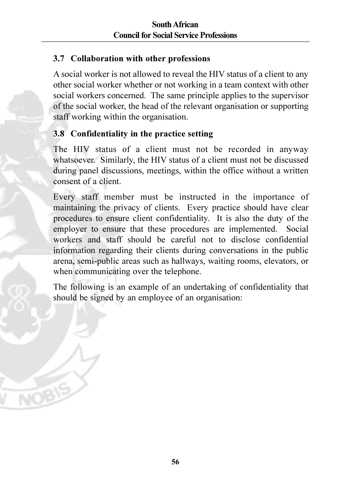### 3.7 Collaboration with other professions

A social worker is not allowed to reveal the HIV status of a client to any other social worker whether or not working in a team context with other social workers concerned. The same principle applies to the supervisor of the social worker, the head of the relevant organisation or supporting staff working within the organisation.

# 3.8 Confidentiality in the practice setting

The HIV status of a client must not be recorded in anyway whatsoever. Similarly, the HIV status of a client must not be discussed during panel discussions, meetings, within the office without a written consent of a client

Every staff member must be instructed in the importance of maintaining the privacy of clients. Every practice should have clear procedures to ensure client confidentiality. It is also the duty of the employer to ensure that these procedures are implemented. Social workers and staff should be careful not to disclose confidential information regarding their clients during conversations in the public arena, semi-public areas such as hallways, waiting rooms, elevators, or when communicating over the telephone.

The following is an example of an undertaking of confidentiality that should be signed by an employee of an organisation: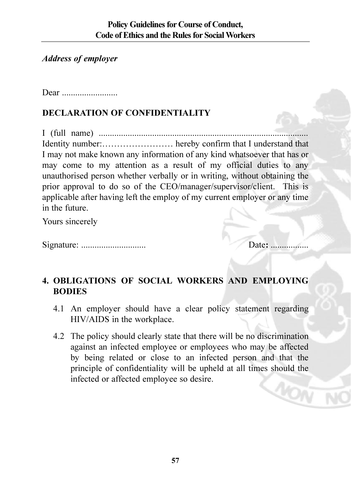### **Address of employer**

Dear ..........................

# **DECLARATION OF CONFIDENTIALITY**

I may not make known any information of any kind whatsoever that has or may come to my attention as a result of my official duties to any unauthorised person whether verbally or in writing, without obtaining the prior approval to do so of the CEO/manager/supervisor/client. This is applicable after having left the employ of my current employer or any time in the future.

Yours sincerely

Date: .......

# 4. OBLIGATIONS OF SOCIAL WORKERS AND EMPLOYING **RODIES**

- 4.1 An employer should have a clear policy statement regarding HIV/AIDS in the workplace.
- 4.2 The policy should clearly state that there will be no discrimination against an infected employee or employees who may be affected by being related or close to an infected person and that the principle of confidentiality will be upheld at all times should the infected or affected employee so desire.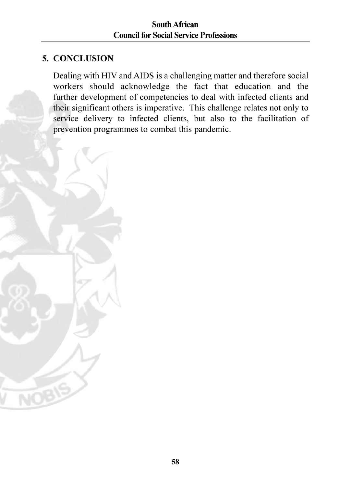# 5. CONCLUSION

Dealing with HIV and AIDS is a challenging matter and therefore social workers should acknowledge the fact that education and the further development of competencies to deal with infected clients and their significant others is imperative. This challenge relates not only to service delivery to infected clients, but also to the facilitation of prevention programmes to combat this pandemic.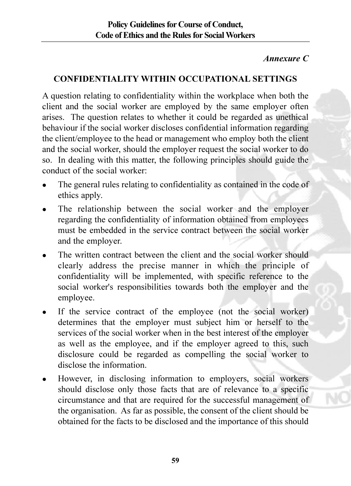## Annexure C

## **CONFIDENTIALITY WITHIN OCCUPATIONAL SETTINGS**

A question relating to confidentiality within the workplace when both the client and the social worker are employed by the same employer often arises. The question relates to whether it could be regarded as unethical behaviour if the social worker discloses confidential information regarding the client/employee to the head or management who employ both the client and the social worker, should the employer request the social worker to do so. In dealing with this matter, the following principles should guide the conduct of the social worker

- The general rules relating to confidentiality as contained in the code of ethics apply.
- The relationship between the social worker and the employer regarding the confidentiality of information obtained from employees must be embedded in the service contract between the social worker and the employer.
- The written contract between the client and the social worker should clearly address the precise manner in which the principle of confidentiality will be implemented, with specific reference to the social worker's responsibilities towards both the employer and the employee.
- If the service contract of the employee (not the social worker) determines that the employer must subject him or herself to the services of the social worker when in the best interest of the employer as well as the employee, and if the employer agreed to this, such disclosure could be regarded as compelling the social worker to disclose the information
- However, in disclosing information to employers, social workers should disclose only those facts that are of relevance to a specific circumstance and that are required for the successful management of the organisation. As far as possible, the consent of the client should be obtained for the facts to be disclosed and the importance of this should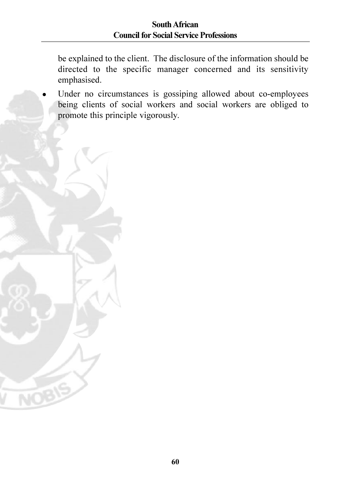be explained to the client. The disclosure of the information should be directed to the specific manager concerned and its sensitivity emphasised.

Under no circumstances is gossiping allowed about co-employees being clients of social workers and social workers are obliged to promote this principle vigorously.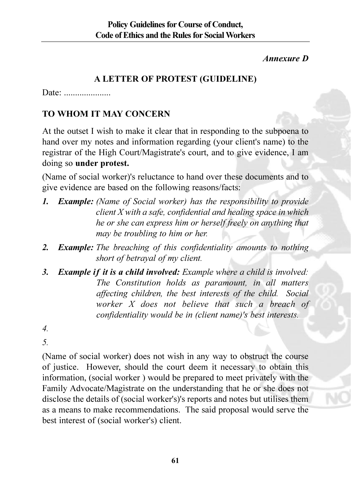### Annexure D

# A LETTER OF PROTEST (GUIDELINE)

Date: ......................

## TO WHOM IT MAY CONCERN

At the outset I wish to make it clear that in responding to the subpoena to hand over my notes and information regarding (your client's name) to the registrar of the High Court/Magistrate's court, and to give evidence, I am doing so under protest.

(Name of social worker)'s reluctance to hand over these documents and to give evidence are based on the following reasons/facts:

- **1.** Example: (Name of Social worker) has the responsibility to provide client X with a safe, confidential and healing space in which he or she can express him or herself freely on anything that may be troubling to him or her.
- **Example:** The breaching of this confidentiality amounts to nothing  $2.$ short of hetraval of my client.
- **Example if it is a child involved:** Example where a child is involved:  $\mathbf{3}$ . The Constitution holds as paramount, in all matters affecting children, the best interests of the child. Social worker X does not believe that such a breach of confidentiality would be in (client name)'s best interests.

4.

 $\mathcal{F}$ 

(Name of social worker) does not wish in any way to obstruct the course of justice. However, should the court deem it necessary to obtain this information, (social worker) would be prepared to meet privately with the Family Advocate/Magistrate on the understanding that he or she does not disclose the details of (social worker's)'s reports and notes but utilises them as a means to make recommendations. The said proposal would serve the best interest of (social worker's) client.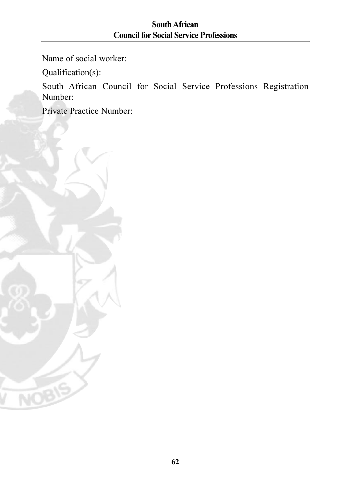Name of social worker:

Oualification(s):

South African Council for Social Service Professions Registration Number:

Private Practice Number: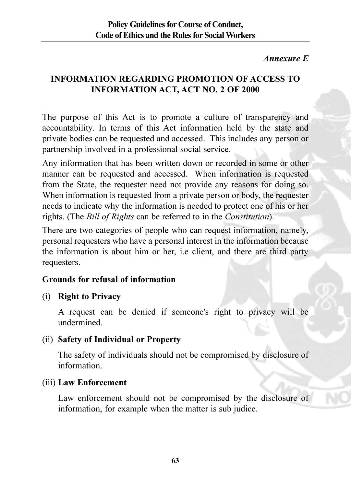### Annexure E

# **INFORMATION REGARDING PROMOTION OF ACCESS TO INFORMATION ACT, ACT NO. 2 OF 2000**

The purpose of this Act is to promote a culture of transparency and accountability. In terms of this Act information held by the state and private bodies can be requested and accessed. This includes any person or partnership involved in a professional social service.

Any information that has been written down or recorded in some or other manner can be requested and accessed. When information is requested from the State, the requester need not provide any reasons for doing so. When information is requested from a private person or body, the requester needs to indicate why the information is needed to protect one of his or her rights. (The Bill of Rights can be referred to in the Constitution).

There are two categories of people who can request information, namely. personal requesters who have a personal interest in the information because the information is about him or her, i.e client, and there are third party requesters.

### Grounds for refusal of information

### (i) Right to Privacy

A request can be denied if someone's right to privacy will be undermined

### (ii) Safety of Individual or Property

The safety of individuals should not be compromised by disclosure of information

### (iii) Law Enforcement

Law enforcement should not be compromised by the disclosure of information, for example when the matter is sub judice.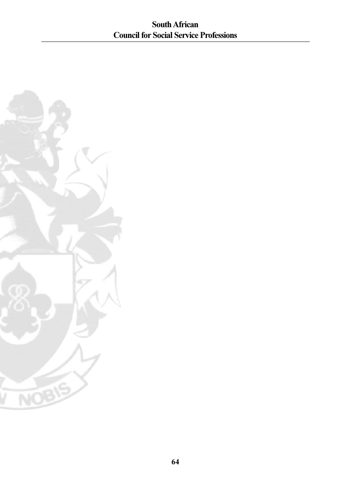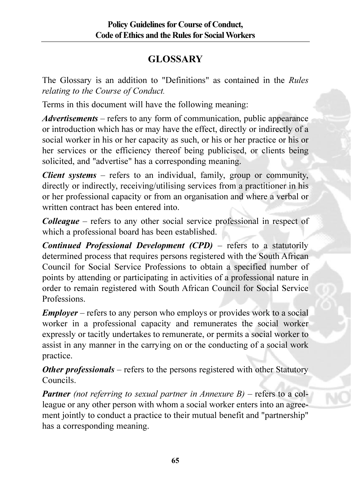# **GLOSSARY**

The Glossary is an addition to "Definitions" as contained in the Rules relating to the Course of Conduct.

Terms in this document will have the following meaning:

*Advertisements* – refers to any form of communication, public appearance or introduction which has or may have the effect, directly or indirectly of a social worker in his or her capacity as such, or his or her practice or his or her services or the efficiency thereof being publicised, or clients being solicited, and "advertise" has a corresponding meaning.

**Client systems** – refers to an individual, family, group or community. directly or indirectly, receiving/utilising services from a practitioner in his or her professional capacity or from an organisation and where a verbal or written contract has been entered into

**Colleague** – refers to any other social service professional in respect of which a professional board has been established.

**Continued Professional Development (CPD)** – refers to a statutorily determined process that requires persons registered with the South African Council for Social Service Professions to obtain a specified number of points by attending or participating in activities of a professional nature in order to remain registered with South African Council for Social Service Professions

**Employer** – refers to any person who employs or provides work to a social worker in a professional capacity and remunerates the social worker expressly or tacitly undertakes to remunerate, or permits a social worker to assist in any manner in the carrying on or the conducting of a social work practice.

**Other professionals** – refers to the persons registered with other Statutory Councils.

**Partner** (not referring to sexual partner in Annexure  $B$ ) – refers to a colleague or any other person with whom a social worker enters into an agreement jointly to conduct a practice to their mutual benefit and "partnership" has a corresponding meaning.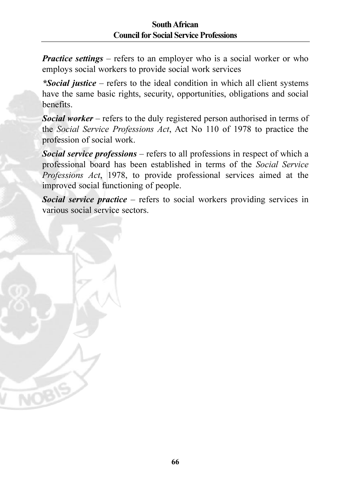**Practice settings** – refers to an employer who is a social worker or who employs social workers to provide social work services

\*Social justice – refers to the ideal condition in which all client systems have the same basic rights, security, opportunities, obligations and social henefits

**Social worker** – refers to the duly registered person authorised in terms of the Social Service Professions Act, Act No 110 of 1978 to practice the profession of social work.

Social service professions – refers to all professions in respect of which a professional board has been established in terms of the Social Service Professions Act, 1978, to provide professional services aimed at the improved social functioning of people.

Social service practice – refers to social workers providing services in various social service sectors.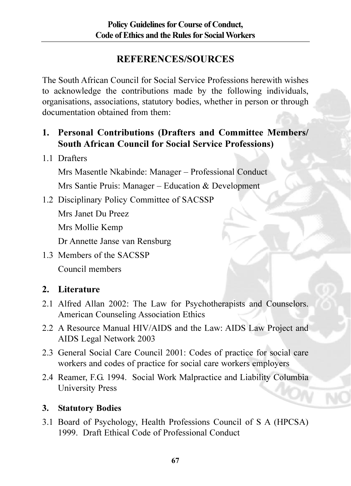# **REFERENCES/SOURCES**

The South African Council for Social Service Professions herewith wishes to acknowledge the contributions made by the following individuals. organisations, associations, statutory bodies, whether in person or through documentation obtained from them:

# 1. Personal Contributions (Drafters and Committee Members/ **South African Council for Social Service Professions)**

1.1 Drafters

Mrs Masentle Nkabinde: Manager - Professional Conduct Mrs Santie Pruis: Manager - Education & Development

1.2 Disciplinary Policy Committee of SACSSP

Mrs Janet Du Preez

Mrs Mollie Kemp

Dr Annette Janse van Rensburg

1.3 Members of the SACSSP Council members

# 2. Literature

- 2.1 Alfred Allan 2002: The Law for Psychotherapists and Counselors. American Counseling Association Ethics
- 2.2 A Resource Manual HIV/AIDS and the Law: AIDS Law Project and AIDS Legal Network 2003
- 2.3 General Social Care Council 2001: Codes of practice for social care workers and codes of practice for social care workers employers
- 2.4 Reamer, F.G. 1994. Social Work Malpractice and Liability Columbia **University Press**

### 3. Statutory Bodies

3.1 Board of Psychology, Health Professions Council of S A (HPCSA) 1999 Draft Ethical Code of Professional Conduct